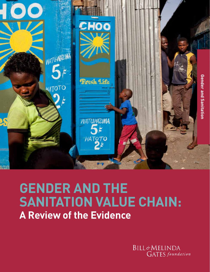

# **GENDER AND THE SANITATION VALUE CHAIN: A Review of the Evidence**

**BILL&MELINDA GATES** foundation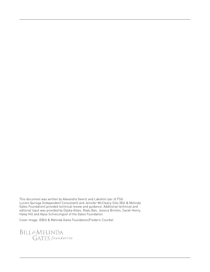This document was written by Alexandra Geertz and Lakshmi Iyer of FSG. Lucero Quiroga (Independent Consultant) and Jennifer McCleary-Sills (Bill & Melinda Gates Foundation) provided technical review and guidance. Additional technical and editorial input was provided by Dipika Ailani, Radu Ban, Jessica Brinton, Sarah Henry, Haley Hill and Alyse Schrecongost of the Gates Foundation.

Cover image: ©Bill & Melinda Gates Foundation/Frederic Courbet

BILL&MELINDA<br>GATES foundation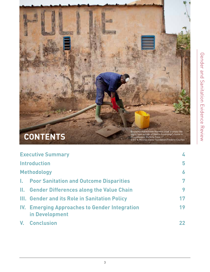

| <b>Executive Summary</b> |                                                                 | 4  |
|--------------------------|-----------------------------------------------------------------|----|
| <b>Introduction</b>      |                                                                 | 5  |
|                          | <b>Methodology</b>                                              | 6  |
| L.                       | <b>Poor Sanitation and Outcome Disparities</b>                  | 7  |
|                          | II. Gender Differences along the Value Chain                    | 9  |
|                          | III. Gender and its Role in Sanitation Policy                   | 17 |
|                          | IV. Emerging Approaches to Gender Integration<br>in Development | 19 |
|                          | <b>V. Conclusion</b>                                            | 22 |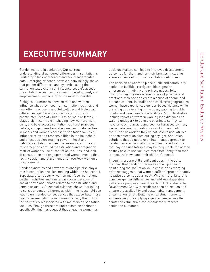# **EXECUTIVE SUMMARY**

Gender matters in sanitation. Our current understanding of gendered differences in sanitation is limited by a lack of research and sex-disaggregated data. Emerging evidence, however, convincingly shows that gender differences and dynamics along the sanitation value chain can influence people's access to sanitation as well as their health, development, and empowerment, especially for the most vulnerable.

Biological differences between men and women influence what they need from sanitation facilities and how often they use them. But well beyond biological differences, gender—the socially and culturally constructed ideas of what it is to be male or female plays a significant role in shaping how women, men, girls, and boys access sanitation. Cultural practices, beliefs, and gendered social norms lead to disparities in men's and women's access to sanitation facilities, influence roles and responsibilities in the household, and affect decision-making power in local and national sanitation policies. For example, stigma and misperceptions around menstruation and pregnancy restrict women's use of sanitation facilities, and lack of consultation and engagement of women means that facility design and placement often overlook women's unique needs.

Gender dynamics and power relationships also play a role in sanitation decision-making within the household. Especially after puberty, women may face restrictions on their activities and sanitation access because of social norms and taboos related to menstruation and female sexuality. Anecdotal evidence shows that failing to consider gender differences within the household can lead to unintended consequences that exacerbate these norms. Women also more commonly carry the bulk of the daily burden associated with maintaining sanitation facilities. Though there are limited data on sanitation specifically, findings suggest that engaging women as

decision-makers can lead to improved development outcomes for them and for their families, including some evidence of improved sanitation outcomes.

The decision of where to place public and community sanitation facilities rarely considers gender differences in mobility and privacy needs. Toilet locations can increase women's risk of physical and emotional violence and create a sense of shame and embarrassment. In studies across diverse geographies, women have experienced gender-based violence while urinating or defecating in the open, walking to public toilets, and using sanitation facilities. Multiple studies include reports of women walking long distances or waiting until dark to defecate or urinate so they can have privacy. To avoid being seen or harassed by men, women abstain from eating or drinking, and hold their urine at work so they do not have to use latrines or open defecation sites during daylight. Sanitation solutions that do not take an intentional approach to gender can also be costly for women. Experts argue that pay-per-use latrines may be inequitable for women as they have to use facilities more frequently than men to meet their own and their children's needs.

Though there are still significant gaps in the data, it's clear that gender differences show up at each point along the sanitation value chain, and emerging evidence suggests that women suffer disproportionately negative outcomes as a result. What's more, failure to consider gender differences and address disparities will stymie progress toward reaching UN Sustainable Development Goal 6 to eradicate open defecation and ensure the availability and sustainable management of sanitation for all. Building on existing momentum and meaningfully applying a gender lens across the sanitation value chain can considerably improve sanitation outcomes.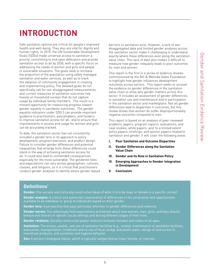# <span id="page-4-0"></span>**INTRODUCTION**

Safe sanitation options are critical for people's improved health and well-being. They also are vital for dignity and human rights. In 2015, the UN Sustainable Development Goals (SDGs) made universal access to sanitation a priority, committing to end open defecation and provide sanitation access to all by 2030, with a specific focus on addressing the needs of women and girls and people in vulnerable situations. The goals seek to increase the proportion of the population using safely managed sanitation and water services, as well as to track the adoption of community engagement in creating and implementing policy. The detailed goals do not specifically call for sex-disaggregated measurements, and current measures of sanitation outcomes rely heavily on household surveys that do not capture usage by individual family members. The result is a missed opportunity for measuring progress toward gender equality in sanitation outcomes. The gender equality indicators under SDG 5 can provide important guidance to practitioners, policymakers, and funders to improve sanitation access for all- and to ensure that improvements in access and usage for women and girls can be accurately tracked.

To date, the sanitation sector has not consistently included a gender lens in its approach to policy development, program execution, and product design. Failure to consider gender differences and potential inequalities that emerge from these differences could stand in the way of achieving sanitation access for all. It could also lead to unintended consequences, especially for the most vulnerable. The gendered roles and expectations can vary across geographies, cultures, classes, and religions, so it is critical that practitioners conduct gender analyses to identify where gender-based

barriers to sanitation exist. However, a lack of sexdisaggregated data and limited gender analyses across the sanitation sector make it challenging to understand exactly where these differences exist along the sanitation value chain. This lack of data also makes it difficult to measure how gender inequality leads to poor outcomes for men and women.

This report is the first in a series of evidence reviews commissioned by the Bill & Melinda Gates Foundation to highlight how gender influences development outcomes across sectors. This report seeks to uncover the evidence on gender differences in the sanitation value chain to show why gender matters across this sector. It includes an assessment of gender differences in sanitation use and maintenance and in participation in the sanitation sector and marketplace. Not all gender differences lead to disparities in outcomes, but this review shows that women do suffer disproportionately negative outcomes compared to men.

This report is based on an analysis of peer-reviewed academic papers; program reports, evaluations, and case studies; white papers; and 'to a limited extent' policy papers, briefings, and opinion papers related to sanitation and gender. It will cover the following areas:

- **I. Poor Sanitation and Outcome Disparities**
- **II. Gender Differences along the Sanitation Value Chain**
- **III. Gender and its Role in Sanitation Policy**
- **IV. Emerging Approaches to Gender Integration in Development**
- **V. Conclusion**

## **[Definitions1](#page-22-0)**

**Gender:** The socially and culturally constructed ideas of what it is to be male or female in a specific context.

**Gender analysis:** A critical and systematic examination of differences in the constraints and opportunities available to an individual or group of individuals based on their gender.

**Gender lens:** A perspective that pays particular attention to gender differences and relations.

**Gender norms:** The collectively held expectations and beliefs about how women, men, girls, and boys should behave and interact in specific social settings and during different stages of their lives.

**Gender relations:** Socially constructed power relations between females and males of all ages.

**Sanitation:** The access, quality, and use of sanitation facilities (e.g., toilets), maintenance of sanitation facilities, evacuation, transportation, treatment and re-use of fecal sludge and waste water, design of and access to menstrual products, and sanitation and hygiene behavior.

**Sex:** A person's biological status, which is typically categorized as male, female, or intersex.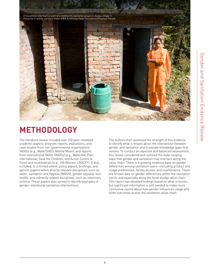

# **METHODOLOGY**

The literature review included over 100 peer-reviewed academic papers; program reports, evaluations, and case studies from non-governmental organizations (NGOs) (e.g., WaterSHED, Mahila Milan); and reports from international NGOs (INGOs) (e.g., WaterAid, Plan International, Save the Children, and Action Contre le Faim) and multilaterals (e.g., UN Women, UNICEF). It also included, to a limited extent, policy papers, briefings, and opinion papers within directly relevant disciplines, such as water, sanitation and hygiene (WASH), gender equality, and health, and indirectly related disciplines, such as veterinary science. These papers also served to identify examples of gender-intentional sanitation interventions.

The authors then assessed the strength of this evidence to identify what is known about the intersection between gender and sanitation and to elevate knowledge gaps that remain. To conduct an objective and balanced assessment, this review considered and outlined the wide-ranging ways that gender and sanitation may intersect along the value chain. There is a growing evidence base on gender differences among sanitation users—including product and usage preferences, facility access, and maintenance. There are limited data on gender differences within the sanitation sector and especially along the fecal sludge value chain. This report has elevated findings based on what is known, but significant information is still needed to make more conclusive claims about how gender influences usage and other outcomes across the sanitation value chain.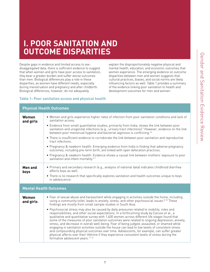# <span id="page-6-0"></span>**I. POOR SANITATION AND OUTCOME DISPARITIES**

Despite gaps in evidence and limited access to sexdisaggregated data, there is sufficient evidence to suggest that when women and girls have poor access to sanitation, they bear a greater burden and suffer worse outcomes than men. Biological differences play a role in these disparities, as women have different needs, especially during menstruation and pregnancy and after childbirth. Biological differences, however, do not adequately

explain the disproportionately negative physical and mental health, education, and economic outcomes that women experience. The emerging evidence on outcome disparities between men and women suggests that cultural practices, biases, and social norms are likely influencing factors as well. Table 1 provides a summary of the evidence linking poor sanitation to health and development outcomes for men and women:

## **Table 1: Poor sanitation access and physical health**

| <b>Physical Health Outcomes</b> |                                                                                                                                                                                                                                                                                                                                                                                                                                                                                                                                                                                                                                                                                                                                                                                                                                                                                                                                                                                                                                                                                                                            |  |  |  |
|---------------------------------|----------------------------------------------------------------------------------------------------------------------------------------------------------------------------------------------------------------------------------------------------------------------------------------------------------------------------------------------------------------------------------------------------------------------------------------------------------------------------------------------------------------------------------------------------------------------------------------------------------------------------------------------------------------------------------------------------------------------------------------------------------------------------------------------------------------------------------------------------------------------------------------------------------------------------------------------------------------------------------------------------------------------------------------------------------------------------------------------------------------------------|--|--|--|
| Women<br>and girls              | . Women and girls experience higher rates of infection from poor sanitation conditions and lack of<br>sanitation access.<br>• Evidence from small quantitative studies, primarily from India, shows the link between poor<br>sanitation and urogenital infections (e.g., urinary tract infections). <sup>2</sup> However, evidence on the link<br>between poor menstrual hygiene and bacterial vaginosis is conflicting. <sup>3,4</sup><br>• There is insufficient evidence to corroborate the link between poor sanitation and reproductive<br>tract infections.<br>• Pregnancy & newborn health: Emerging evidence from India is finding that adverse pregnancy<br>outcomes, including pre-term birth, are linked with open defecation practices.<br>• Pregnancy & newborn health: Evidence shows a causal link between mothers' exposure to poor<br>sanitation and infant mortality. <sup>5-7</sup>                                                                                                                                                                                                                     |  |  |  |
| Men and<br>boys                 | • Primary and secondary research (e.g., analysis of national data) indicates childhood diarrhea<br>affects boys as well.<br>• There is no research that specifically explores sanitation and health outcomes unique to boys<br>in adolescence                                                                                                                                                                                                                                                                                                                                                                                                                                                                                                                                                                                                                                                                                                                                                                                                                                                                              |  |  |  |
| <b>Mental Health Outcomes</b>   |                                                                                                                                                                                                                                                                                                                                                                                                                                                                                                                                                                                                                                                                                                                                                                                                                                                                                                                                                                                                                                                                                                                            |  |  |  |
| Women<br>and girls              | • Fear of sexual abuse and harassment while engaging in activities outside the home, including<br>using a community toilet, leads to anxiety, stress, and other psychosocial issues. <sup>8-10</sup> These<br>findings are mostly from small sample studies in South Asia.<br>• Psychosocial stress may also be caused by daily pressures related to mobility, roles and<br>responsibilities, and other social expectations. In a forthcoming study by Caruso et al., a<br>qualitative and quantitative survey with 1,400 women across different life stages found that<br>some of the measures of poor sanitation outcomes were related to ongoing depression, anxiety,<br>stress, and decrease in overall well-being. Fear of being judged, assaulted, or shamed while<br>engaging in sanitation activities outside the house can lead to low levels of consistent stress<br>and compounding physical outcomes over time. Adolescents, for example, can suffer greater<br>physical affects over their lifetime if they experience consistent levels of stress during the<br>formative adolescent years. <sup>11-14</sup> |  |  |  |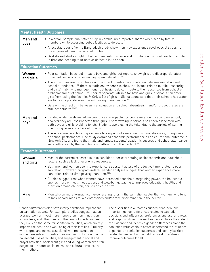| <b>Men and</b><br>boys    | • In a small-sample qualitative study in Zambia, men reported shame when seen by family<br>members while accessing public facilities to defecate.<br>• Anecdotal reports from a Bangladesh study show men may experience psychosocial stress from<br>the stigmas of being considered unclean.<br>. Desk-based studies highlight older men feeling shame and humiliation from not reaching a toilet<br>in time and needing to urinate or defecate in the open.                                                                                                                                                                                                                                                                                                                                                                                                                                                                                               |  |  |
|---------------------------|-------------------------------------------------------------------------------------------------------------------------------------------------------------------------------------------------------------------------------------------------------------------------------------------------------------------------------------------------------------------------------------------------------------------------------------------------------------------------------------------------------------------------------------------------------------------------------------------------------------------------------------------------------------------------------------------------------------------------------------------------------------------------------------------------------------------------------------------------------------------------------------------------------------------------------------------------------------|--|--|
| <b>Education Outcomes</b> |                                                                                                                                                                                                                                                                                                                                                                                                                                                                                                                                                                                                                                                                                                                                                                                                                                                                                                                                                             |  |  |
| Women<br>and girls        | • Poor sanitation in school impacts boys and girls, but reports show girls are disproportionately<br>impacted, especially when managing menstruation. <sup>15,16</sup><br>• Though studies are inconclusive on the direct quantitative correlation between sanitation and<br>school attendance, <sup>17-20</sup> there is sufficient evidence to show that issues related to toilet insecurity<br>and girls' inability to manage menstrual hygiene do contribute to their absences from school or<br>embarrassment at school. <sup>21-25</sup> Lack of separate latrines for boys and girls in schools can deter<br>girls from using the facilities. <sup>26</sup> Only 6.9% of girls in Sierra Leone said that their schools had water<br>available in a private area to wash during menstruation. <sup>27</sup><br>. Data on the direct link between menstruation and school absenteeism and/or dropout rates are<br>still inconclusive. <sup>28-30</sup> |  |  |
| <b>Men and</b><br>boys    | • Limited evidence shows adolescent boys are impacted by poor sanitation in secondary school,<br>however they are less impacted than girls. Overcrowding in schools has been associated with<br>both boys and girls avoiding toilets. Students avoid using the toilet due to the anxiety of waiting in<br>line during recess or a lack of privacy. <sup>31</sup><br>• There is some corroborating evidence linking school sanitation to school absences, though less<br>on school performance. One study examined academic performance as an educational outcome in<br>New York City and found that male and female students' academic success and school attendance<br>were influenced by the conditions of bathrooms in their school. <sup>32</sup>                                                                                                                                                                                                       |  |  |
| <b>Economic Outcomes</b>  |                                                                                                                                                                                                                                                                                                                                                                                                                                                                                                                                                                                                                                                                                                                                                                                                                                                                                                                                                             |  |  |
| Women<br>and girls        | • Most of the current research fails to consider other contributing socioeconomic and household<br>factors, such as lack of economic resources.<br>• Both men and women seem to experience a substantial loss of productive time related to poor<br>sanitation. However, program-related gender analyses suggest that women experience more<br>sanitation-related time poverty than men. 33,34<br>• Studies suggest that when women have increased household bargaining power, the household<br>spends more on health, education, and well-being, leading to improved education, health, and<br>nutrition among children, particularly girls. 35-37                                                                                                                                                                                                                                                                                                         |  |  |
| Men                       | • Men take on more formal income-generating roles in the sanitation sector than women, who tend<br>to lack opportunities to join enterprises and/or face discrimination in the sector.                                                                                                                                                                                                                                                                                                                                                                                                                                                                                                                                                                                                                                                                                                                                                                      |  |  |

Gender differences also have intergenerational implications on sanitation as well. For example, studies suggest that, on average, women invest more money than men in nutrition, school fees, and other needs of the family. Experts suggest they likely do the same for sanitation facilities, which directly impacts the health and well-being of their families. Similarly, with stigma and norms associated with menstruation, women are subject to restrictions on their mobility within the household, use of facilities, and engagement in social and prayer activities. Adolescent girls and young women are often subject to the same social norms and cultural practices as their mothers.

<span id="page-7-0"></span>**Mental Health Outcomes**

The disparities in outcomes suggest that there are important gender differences related to sanitation decisions and influences, preferences and use, and roles and responsibilities. The next section explores the state of the evidence and identifies gender differences along the sanitation value chain to better understand the influence of gender on sanitation outcomes and identify barriers related to gender that the field can seek to address to improve outcomes for all.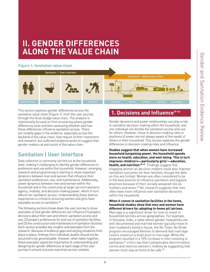# <span id="page-8-0"></span>**II. GENDER DIFFERENCES ALONG THE VALUE CHAIN**

## **Figure 1: Sanitation value chain**



This section explores gender differences across the sanitation value chain (Figure 1), from the user journey through the fecal sludge value chain. The analysis is intentionally focused on first uncovering where gender differences exist and then assessing whether and how these differences influence sanitation access. There are notable gaps in the evidence, especially across the backend of the value chain, that require further investment and research, but sufficient evidence exists to suggest that gender matters at each point of the value chain.

## **Sanitation | User Interface**

Data collection is commonly carried out at the household level, making it challenging to identify gender differences in preference and use within the household. However, emerging research and programming is starting to show important dynamics between men and women that influence their sanitation preferences, use, and maintenance. Additionally, power dynamics between men and women within the household and in the community at large can limit women's agency, mobility, and decision-making power, which in turn affects her sanitation access. Understanding these diverse experiences is critical to ensuring women and girls have equitable access to sanitation.<sup>38</sup>

The following sections break down the user journey to show examples of how gender differences can influence (1) people's decisions about their own and others' sanitation access and use, (2) people's preferences for and use of sanitation facilities, and (3) the construction and maintenance of sanitation facilities. Each section provides key insights and examples from the research. Because of evidence gaps and varying situations from place to place, findings from individual studies should not be assumed to be generalizable. However, when taken together, these examples signal the importance of understanding and designing for gender differences at each stage of the user journey to ensure inclusive outcomes across contexts.

## **1. Decisions and Influenc[e39-44](#page-23-0)**

Gender dynamics and power relationships can play a role in sanitation decision-making within the household, and one individual can dictate the sanitation access and use for others. However, those in decision-making roles or positions of power are not always aware of the needs of others in their household. This section explores the gender differences in decision-making roles and influence.

**Studies suggest that when women have increased household bargaining power, the household spends more on health, education, and well-being. This in turn improves children's—particularly girls'—education, health, and nutrition[.45-47](#page-23-0)** Findings suggest that engaging women as decision-makers could also improve sanitation outcomes for their families, though the data on this are limited. Women are often considered to be in the best position to influence sanitation and hygiene practices because of their socially assigned role as mothers and wives.<sup>48</sup> Yet, research suggests that men often have more influence over sanitation decisions within the household.

#### **When it comes to sanitation facilities in the home, household studies show that men and women have different drivers for adopting in-home pit latrines.**

Marriage is a significant driver for men to invest in household latrines across geographies. For example, in Haryana, India, a state where gender inequalities are well documented and married women typically move to their husband's family's house, the No Toilet, No Bride program encouraged families to demand that marriage suitors construct a toilet prior to marriage. While the program resulted in a 15% increase in men investing in sanitation,<sup>[49](#page-23-0)</sup> critics say that it perpetuates discriminatory norms and restricts women's mobility by suggesting that women must stay at home to be safe.<sup>50</sup>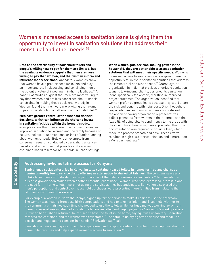## <span id="page-9-0"></span>Women's increased access to sanitation loans is giving them the opportunity to invest in sanitation solutions that address their menstrual and other needs.[53](#page-23-0)

**Data on the affordability of household toilets and people's willingness to pay for them are limited, but the available evidence suggests that men are more willing to pay than women, and that women inform and influence men's decisions.** Anecdotal examples show that women have a greater need for toilets and play an important role in discussing and convincing men of the potential value of investing in in-home facilities.<sup>[51](#page-23-0)</sup> A handful of studies suggest that men are more willing to pay than women and are less concerned about financial constraints in making these decisions. A study in Vietnam found that men were more willing than women to pay for constructing a bathroom with a flush toilet.<sup>[52](#page-23-0)</sup>

#### **Men have greater control over household financial decisions, which can influence the choice to invest in sanitation facilities within the home.** Anecdotal

**Case Study**

Case Study

examples show that men sometimes refuse to invest in improved sanitation for women and the family because of cultural beliefs, misperceptions, or lack of understanding about women's needs. Below is an example from consumer research conducted by Sanivation, a Kenyabased social enterprise that provides and services container-based toilets for households in urban settings.

**When women gain decision-making power in the household, they are better able to access sanitation solutions that will meet their specific needs.** Women's increased access to sanitation loans is giving them the opportunity to invest in sanitation solutions that address their menstrual and other needs.<sup>53</sup> Gramalaya, an organization in India that provides affordable sanitation loans to low-income clients, designed its sanitation loans specifically for women, resulting in improved project outcomes. The organization identified that women preferred group loans because they could share the risk and benefits with neighbors. Given household responsibilities and norms, women also preferred the option of having organization representatives collect payments from women in their homes, and the flexibility of being able to send money to the group with their neighbors. Finally, women appreciated that little documentation was required to obtain a loan, which made the process smooth and easy. These efforts resulted in high customer satisfaction and a more than 99% repayment rate.<sup>54</sup>

## **Addressing in-home latrine access for Kenyans**

**Sanivation, a social enterprise in Kenya, installs container-based toilets in homes for free and charges a nominal monthly fee to service them, offering an alternative to shared pit latrines.** The company saw early uptake from clients with disabilities, in part because of the toilet's convenience and safety.<sup>55</sup> Yet Sanivation's business growth soon stalled when another potential client base—women, who have expressed interest in and the need for in-home toilets—were not using the service as they had anticipated. Sanivation discovered that men's perceptions and control over household purchases were preventing more families from installing the latrines or continuing the service.

For example, a woman in Naivasha, Kenya, signed up for the service to make it easier to use the bathroom. The woman was healing from post-birth complications and had to take her infant and 1-year-old with her to the community pit latrines each time she needed to use the toilet. While her husband was working away from home for several weeks, she had an in-home latrine installed and began paying for Sanivation's weekly service. But when her husband returned, he refused to have the toilet in the home, saying it was unsanitary. Sanivation removed the container, and the woman was devastated. "She came to us crying after her husband made the decision and neglected to consider her needs," Sanivation staff said.

Sanivation is now creating a campaign to engage men and religious leaders to combat misperceptions about inhome toilet facilities and help expand women's access to sanitation.<sup>56</sup>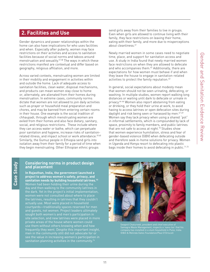## <span id="page-10-0"></span>**2. Facilities and Use**

Gender dynamics and power relationships within the home can also have implications for who uses facilities and when. Especially after puberty, women may face restrictions on their activities and access to sanitation facilities because of social norms and taboos around menstruation and sexuality[.57,58](#page-23-0) The ways in which these restrictions manifest are contextual and differ based on geography, religious affiliation, and more.

Across varied contexts, menstruating women are limited in their mobility and engagement in activities within and outside the home. Lack of adequate access to sanitation facilities, clean water, disposal mechanisms, and products can mean women stay close to home or, alternately, are alienated from their homes during menstruation. In extreme cases, community norms dictate that women are not allowed to join daily activities such as prayer or household meal preparation and chores, and may be banned from entering certain rooms in their house. One example is the social tradition of chhaupadi, through which menstruating women are exiled from their homes and also face dietary, sanitary, social, and religious restrictions. These include where they can access water or bathe, which can perpetuate poor sanitation and hygiene, increase risks of sanitation-related illness, and impact school or work attendance.<sup>[59,60](#page-23-0)</sup> Similarly, the Gumuz people in Ethiopia send girls into isolation away from their family for a period of time when they begin menstruating. Other Ethiopian ethnic groups

#### send girls away from their families to live in groups. Even when girls are allowed to continue living with their family, they face restrictions on leaving their home, eating with their family, and more due to misperceptions about cleanliness.<sup>[61](#page-23-0)</sup>

Newly married women in some cases need to negotiate time, place, and support for sanitation access and use. A study in India found that newly married women face restrictions on when they are allowed to defecate and who accompanies them. $62$  Additionally, there are expectations for how women must behave if and when they leave the house to engage in sanitation-related activities to protect the family reputation.<sup>63</sup>

In general, social expectations about modesty mean that women should not be seen urinating, defecating, or washing. In multiple studies, women report walking long distances or waiting until dark to defecate or urinate in privacy[.64-66](#page-23-0) Women also report abstaining from eating or drinking, or they hold their urine at work, to avoid having to access latrines or open defecation sites during daylight and risk being seen or harassed by men.<sup>67-69</sup> Women say they lack privacy when using a shared "pot" in informal settlements, which is compounded by lack of space, proximity to family members, and public latrines that are not safe to access at night. $70$  Studies show that women experience humiliation, stress and fear of gender-based violence (GBV) when defecating outside and therefore seek in-home solutions for privacy. Women in Uganda and Kenya resort to defecating into plastic bags inside their homes to avoid defecating in public.<sup>71,72</sup>

# Case Study **Case Study**

### **Considering norms in product design and placement**

**In Rajasthan, India, the government launched a project to address women's safety, privacy, and sanitation needs by building household latrines[.73](#page-23-0)** Women had been holding their urine during the day and then walking to the community latrines in the dark. Yet in the project's initial implementation, women were not consulted about where to place the latrines, resulting in latrines that they couldn't actually use. Most were placed in household courtyards—traditionally spaces reserved for men and guests, not women. Project leaders ultimately sought both women's and men's participation in site selection, and new latrines were placed in more private areas of the house where women could use them without others knowing when and how frequently they went. Despite this important insight, men in the community still did not advocate for or see the value in increasing women's participation in sanitation planning activities in the community.<sup>[74](#page-23-0)</sup>



Swapnil Chaturvedi, president and chief executive of Samagra Waste Management, inspects a 'nano-loo' that his ©Bill & Melinda Gates Foundation/Paul O'Driscoll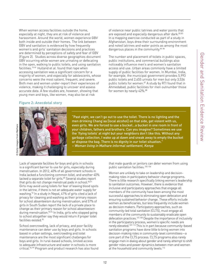<span id="page-11-0"></span>When women access facilities outside the home. especially at night, they are at risk of violence and harassment. Around the world, women experience GBV both inside and outside their homes. The link between GBV and sanitation is evidenced by how frequently women's and girls' sanitation decisions and practices are determined by perceptions of safety and fear of GBV (Figure 2). Studies across diverse geographies document GBV occurring while women are urinating or defecating in the open, walking to public toilets, and using sanitation facilities.[75-81](#page-23-0) Hulland et al. found that rape when accessing sanitation was a significant concern for a majority of women, and especially for adolescents, whose concerns were the most salient, frequent, and severe. Both men and women under-report their experiences of violence, making it challenging to uncover and assess accurate data. A few studies are, however, showing that young men and boys, like women, may also be at risk

## **Figure 2: Anecdotal story**



© Getty images from Mathare

Getty images from Mathare

"Past eight, we can't go out to use the toilet. There is no lighting and the men drinking Chang'aa [local alcohol] on that side, get violent with us, even girls. We are forced to use a bucket…a bucket in one room in front of your children, fathers and brothers. Can you imagine? Sometimes we use the 'flying toilets' at night but your neighbors don't like this. Without any garbage collection, I wake up at dawn and sneak away to empty the bucket or dispose the bag. There is no dignity in our toilet situation." – Woman living in Mathare informal settlement, Kenya

for women by nearly 42%.<sup>[88](#page-24-0)</sup>

Lack of separate facilities for boys and girls in schools is a significant barrier to use for girls, especially during menstruation. In 2012, 40% of all government schools in India lacked a functioning common toilet, and another 40% lacked a separate toilet for girls.<sup>[89](#page-24-0)</sup> Several studies report that girls do not change menstrual pads in school. $90,91$ Girls may avoid using toilets for fear of leaving blood spots in the latrine, if there is not an adequate water supply for washing[.92](#page-24-0) In a study in Nepal, 41% of girls cited a lack of privacy for cleaning and washing as their primary reason for school absenteeism during menstruation, and 57% of girls in South Sudan report the lack of a private place to change as their primary reason for school absenteeism during menstruation. $93,94$  In India, girls who stopped going to school altogether say they would return if proper toilet facilities existed[.95](#page-24-0)

School overcrowding, lack of privacy, and poor facility maintenance can deter use by boys and girls. In schools based in urban settings, overcrowding and toilet maintenance are the most significant challenges for boys and girls. In rural-based schools, limited access to adequate infrastructure and water in schools is more critical.<sup>96-99</sup> Program and product research has also found that male guards or janitors can deter women from using public sanitation facilities.<sup>100-106</sup>

of violence near public latrines and water points that are exposed and especially dangerous after dark.<sup>[82,83](#page-23-0)</sup> In a mapping exercise conducted as part of a study in Afghanistan, boys drew their surrounding environment and noted latrines and water points as among the most

The number and placement of toilets in public spaces, public institutions, and commercial buildings also noticeably influence men's and women's sanitation access and use. Urban areas commonly have a limited supply of public facilities for women. In Mumbai, India, for example, the municipal government provides 5,993 public toilets and 2,455 urinals for men but only 3,536 public toilets for women.<sup>87</sup> A study by RTI found that in Ahmedabad, public facilities for men outnumber those

dangerous places in the community.[84-86](#page-24-0) 

Women are unlikely to take on leadership and decisionmaking roles in participatory behavior change programs. There is little research specifically linking women's leadership to sanitation outcomes. However, there is evidence that inclusive and participatory approaches that engage all members of the community have been among the most successful approaches to eliminating open defecation and ensuring sustained behavior change. These efforts include women as beneficiaries, but less frequently include women as decision makers. Participatory approaches, such as community-led total sanitation (CLTS), must engage all members of the community to sustainably eradicate open defecation practices[.107,108](#page-24-0) Despite the importance of inclusivity in the participatory process, women's specific needs are rarely elevated.<sup>109-113</sup> This is in part because community-based sanitation programs have done little to bring women into decision-making roles in community-level committees—a core part of the CLTS process. CLTS programs also rarely engage men in dialog about gender and rarely attempt to shift gender roles and power dynamics between men and women at the household and community levels.<sup>114</sup>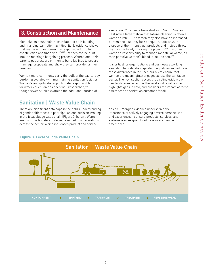## <span id="page-12-0"></span>**3. Construction and Maintenance**

Men take on household roles related to both building and financing sanitation facilities. Early evidence shows that men are more commonly responsible for toilet construction and financing.<sup>[115-117](#page-24-0)</sup> Latrines can be built into the marriage bargaining process. Women and their parents put pressure on men to build latrines to secure marriage proposals and show they can provide for their families.<sup>118</sup>

Women more commonly carry the bulk of the day-to-day burden associated with maintaining sanitation facilities. Women's and girls' disproportionate responsibility for water collection has been well researched.<sup>119</sup> though fewer studies examine the additional burden of

## **Sanitation | Waste Value Chain**

There are significant data gaps in the field's understanding lesign. Emerging evidence underscores the of gender differences in participation and decision-making in the fecal sludge value chain (Figure 3, below). Women are disproportionately underrepresented in organizations across the sector, which influences product and service

sanitation.<sup>[120](#page-24-0)</sup> Evidence from studies in South Asia and East Africa largely show that latrine cleaning is often a woman's role[.121-126](#page-24-0) Women may also have an increased burden because they lack adequate, safe ways to dispose of their menstrual products and instead throw sible for toilet them in the toilet, blocking the pipes.<sup>127,128</sup> It is often women's responsibility to manage menstrual waste, as men perceive women's blood to be unclean[.129](#page-25-0) 

> It is critical for organizations and businesses working in sanitation to understand gender inequalities and address these differences in the user journey to ensure that women are meaningfully engaged across the sanitation sector. The next section covers the existing evidence on gender differences across the fecal sludge value chain, highlights gaps in data, and considers the impact of these differences on sanitation outcomes for all.

design. Emerging evidence underscores the importance of actively engaging diverse perspectives and experiences to ensure products, services, and systems are designed to address users' gender differences.



## **Figure 3: Fecal Sludge Value Chain**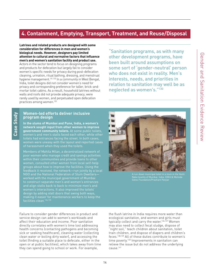## <span id="page-13-0"></span>**4. Containment, Emptying, Transport, Treatment, and Reuse/Disposal**

**Latrines and related products are designed with some consideration for differences in men and women's biological needs. However, designers pay limited attention to cultural and normative factors that influence men's and women's sanitation facility and product use.** Actors in the sector tend to focus on designing programs and products for defecation but largely fail to consider women's specific needs for privacy during post-defecation cleaning, urination, ritual bathing, dressing, and menstrual hygiene management.[131,132](#page-25-0) In a community in West Bengal, India, toilet designs did not consider women's need for privacy and corresponding preference for taller, brick-andmortar toilet cabins. As a result, household latrines without walls and roofs did not provide adequate privacy, were rarely used by women, and perpetuated open defecation practices among women[.133](#page-25-0)

"Sanitation programs, as with many other development programs, have been built around assumptions on some sort of 'gender-neutral' person who does not exist in reality. Men's interests, needs, and priorities in relation to sanitation may well be as neglected as women's.["130](#page-25-0)

#### **Women-led efforts deliver inclusive program design**

**Case Study**

Case Study

**In the slums of Mumbai and Pune, India, a women's network sought input from other women to improve government community toilets.** At some public toilets, women's and men's stalls faced each other, while other toilets had entrances facing the street. In both cases, women were uneasy with the layout and reported cases of harassment when they used the toilets.

Members of Mahila Milan, a decentralized network of poor women who manage credit and savings activities within their communities and provide loans to other when their communities and provide ceans to once.<br>women, consulted other women from local self-help groups about how to improve the facilities. Using the feedback it received, the network—run jointly by a local NGO and the National Federation of Slum Dwellers worked with the municipal government of Mumbai to construct separate men's and women's entrances and align stalls back to back to minimize men's and women's interactions. It also improved the toilets' design by adding stall doors that swing both ways. making it easier for maintenance workers to keep the facilities clean.[134,135](#page-25-0)

Failure to consider gender differences in product and service design can add to women's workloads and affect their education and income. Poor sanitation directly correlates with women's time lost addressing health concerns (contacting pathogens and becoming sick or seeking healthcare), cleaning water (collecting clean water or boiling dirty water), and accessing the toilet (finding a suitable place to defecate, either in the open or at public facilities), which takes away from time they can spend going to school or work. For example,



Naka locality of Mumbai, India. ©Bill & Melinda Gates Foundation/Prashant Panjiar

the flush latrine in India requires more water than ecological sanitation, and women and girls must typically collect and carry the water.<sup>[136,137](#page-25-0)</sup> Women may also need to collect fecal sludge, dispose of "night soil," teach children about sanitation, toilet train children, and dispose of diapers and children's feces.[138,139](#page-25-0) All of these duties contribute to women's time poverty.<sup>140</sup> Improvements in sanitation can relieve the issue but do not address the underlying cause[.141](#page-25-0)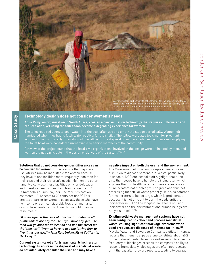<span id="page-14-0"></span>

## **Technology design does not consider women's needs**

**Aqua Privy, an organization in South Africa, created a new sanitation technology that requires little water and reduces odor, yet using the toilet soon became a degrading experience for women.** 

The toilet required users to pour water into the bowl after use and empty the sludge periodically. Women felt humiliated when they had to fetch water publicly for their toilet. The toilets were also too small for pregnant women to use comfortably. They also did now allow for the disposal of sanitary pads, and women seen emptying the toilet bowl were considered unmarriable by senior members of the community.

A review of the project found that the local civic organizations involved in the design were all headed by men, and women did not participate in the design or delivery of the system. $^{142,143}$  $^{142,143}$  $^{142,143}$ 

#### **Solutions that do not consider gender differences can**

**Case Study**

Case Study

**be costlier for women.** Experts argue that pay-peruse latrines may be inequitable for women because they have to use facilities more frequently than men for their own and their children's needs. Men, on the other hand, typically use these facilities only for defecation and therefore need to use them less frequently.<sup>[144-147](#page-25-0)</sup> In Kampala's slums, pay-per-use facilities cost an estimated US 12 cents to 20 cents per use.<sup>[148](#page-25-0)</sup> This creates a barrier for women, especially those who have no income or earn considerably less than men and/ or who have limited control over household financial resources[.149](#page-25-0)

"It goes against the laws of non-discrimination if all public toilets are pay for use. If you have pay-per-use, men will go once for defecation and use the street for the 'short call.' Women have to use the latrine four to five times per day." – Isha Ray, University of California, Berkeley<sup>[150](#page-25-0)</sup>

**Current system-level efforts, particularly incinerator technology, to address the disposal of menstrual waste do not adequately consider the user and may have a** 

#### **negative impact on both the user and the environment.**

The Government of India encourages incinerators as a solution to dispose of menstrual waste, particularly in schools. NGO and school staff highlight that often girls themselves have to handle the incinerator, which exposes them to health hazards. There are instances of incinerators not reaching 900 degrees and thus not processing menstrual waste properly. It is also common for incinerators to be too large, which is problematic because it is not efficient to burn the pads until the incinerator is full.<sup>[151](#page-25-0)</sup> The longitudinal effects of using incinerators on the environment and human beings are not yet studied.[152-154](#page-25-0)

**Existing solid waste management systems have not been configured to collect and process menstrual waste, causing significant blockage problems when used products are disposed of in these facilities[.155](#page-25-0)** Mavoko Water and Sewerage Company, a utility in Kenya, reports that menstrual pads alone constitute about 40% of the material hauled from blocked sewers. Because the frequency of blockages exceeds the company's ability to respond immediately, blockages are often not resolved until the day after they are reported, leading to sewage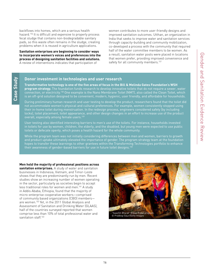<span id="page-15-0"></span>backflows into homes, which are a serious health hazard[.156](#page-25-0) It is difficult and expensive to properly process fecal sludge that contains non-biodegradable sanitary pads, so this waste often remains in the sludge, creating problems when it is reused in agriculture applications.

**Sanitation enterprises are beginning to consider ways to incorporate women's voices and preferences into the process of designing sanitation facilities and solutions.**  A review of interventions indicates that participation of

**Case Study**

Case Study

women contributes to more user-friendly designs and improved sanitation outcomes. Utthan, an organization in India that seeks to improve water and sanitation services through capacity-building and community mobilization, co-developed a process with the community that required half of the water committee members to be women. As a result, sanitation water posts were placed in locations that women prefer, providing improved convenience and safety for all community members.<sup>[157](#page-25-0)</sup>

## **Donor investment in technologies and user research**

**Transformative technology is one of the five areas of focus in the Bill & Melinda Gates Foundation's WSH program strategy.** The foundation funds research to develop innovative toilets that do not require a sewer, water connection, or electricit[y.158](#page-25-0) One example is the Nano Membrane Toilet (NMT), also called the Clean Toilet, which is an off-grid solution designed to be convenient, modern, hygienic, user friendly, and affordable for households.

During preliminary human research and user testing to develop the product, researchers found that the toilet did not accommodate women's physical and cultural preferences. For example, women consistently stopped using their in-home toilet during menstruation. In the redesign process, engineers considered safety (by including locks), toilet placement, toilet appearance, and other design changes in an effort to increase use of the product overall, especially among female users.[159](#page-25-0) 

User testing also identified interesting barriers to men's use of the toilets. For instance, households invested in toilets for use by women, children, the elderly, and the disabled, but young men were expected to use public toilets or defecate openly, which poses a health hazard for the whole community.

While the program team was not initially considering differences between men and women, barriers to growth and product uptake ultimately elevated the importance of gender. The program strategy team at the foundation hopes to transfer these learnings to other grantees within the Transforming Technologies portfolio to enhance their awareness of gender-based barriers for use in future toilet designs.<sup>160</sup>

#### **Men hold the majority of professional positions across**

**sanitation enterprises.** A study of water and sanitation businesses in Indonesia, Vietnam, and Timor-Leste shows that they are predominantly run by men. Recent studies show an increasing number of women operating in the sector, particularly as societies begin to accept less traditional roles for women and men.[161](#page-25-0) A study in Addis Ababa, Ethiopia, found that the majority of micro-enterprise cooperative workers—comprised of community based organizations (CBO) members are women[.162](#page-25-0) Yet, in the 2011 Global Analysis and Assessment of Sanitation and Drinking Water (GLAAS), half of the countries surveyed reported that women comprise less than 10% of total professional water and sanitation staff.<sup>163</sup>

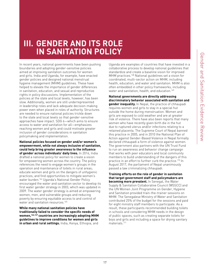# <span id="page-16-0"></span>**III. GENDER AND ITS ROLE IN SANITATION POLICY**

In recent years, national governments have been pushing boundaries and adopting gender-sensitive policies aimed at improving sanitation outcomes for women and girls. India and Uganda, for example, have enacted gender policies and designed national menstrual hygiene management (MHM) guidelines. These have helped to elevate the importance of gender differences in sanitation, education, and sexual and reproductive rights in policy discussions. Implementation of the policies at the state and local levels, however, has been slow. Additionally, women are still underrepresented in leadership roles and lack adequate decision-making power even when placed in roles of authority. Structures are needed to ensure national policies trickle down to the state and local levels so that gender-sensitive approaches have impact. SDG 6—which aims to ensure access to water and sanitation for all—emphasizes reaching women and girls and could motivate greater inclusion of gender considerations in sanitation policymaking and implementation.

**National policies focused on gender and/or women's empowerment, while not always inclusive of sanitation, could help bring greater awareness to the influence of gender across individuals' daily lives.** In 2016, India drafted a national policy for women to create a vision for empowering women across the country. The policy references the need to engage women's groups in the operation and maintenance of toilets in rural areas; educate women and girls on the dangers of unhygienic practices; and find opportunities to mitigate women's water burden.[164](#page-25-0) Uganda's National Gender Policy encouraged the water and sanitation sector to develop its first water gender strategy in 2003, which was updated in 2009. The water gender strategy is aimed at empowering women, men, and vulnerable groups and reducing poverty by ensuring equitable access to and control of water and sanitation resources.<sup>[165](#page-25-0)</sup>

**While many national sanitation policies have traditionally failed to consider the specific needs of women,[166,167](#page-25-0) countries are increasingly adopting MHM guidelines to improve conditions for women and girls in urban and rural settings.** India, Kenya, Ethiopia, and

Uganda are examples of countries that have invested in a collaborative process to develop national guidelines that standardize and create a baseline vision for improved MHM practices.[168](#page-25-0) National guidelines set a vision for coordinated, multi-sector action on MHM, including health, education, and water and sanitation. MHM is also often embedded in other policy frameworks, including water and sanitation, health, and education.<sup>169</sup>

**National governments are directly addressing discriminatory behavior associated with sanitation and gender inequality.** In Nepal, the practice of chhaupadi requires women and girls to stay in a special hut outside the home during menstruation. Women and girls are exposed to cold weather and are at greater risk of violence. There have also been reports that many women who have recently given birth die in the hut due to ruptured uterus and/or infections relating to a retained placenta. The Supreme Court of Nepal banned this practice in 2005, and in 2010 the National Plan of Action against Gender-Based Violence in Nepal formally declared chhaupadi a form of violence against women. The government also partners with the UN Trust Fund to run an awareness and behavior change campaign that works with peer educators and local community members to build understanding of the dangers of this practice in an effort to further curb the practice.<sup>170</sup> In August 2017, the parliament of Nepal unanimously passed a law criminalizing chhaupadi.

**Training efforts on the role of gender in sanitation that target government staff and policymakers are becoming more prevalent.** In Senegal, the Water Supply & Sanitation Collaborative Council (WSSCC) and the UN Women Joint Programme on Gender, Hygiene and Sanitation provided train-the-trainer sessions on MHM. The Senegalese Ministry of Water and Sanitation contributed 25% of the budget for the sessions and paid for eight ministry staff members to participate. As a result, these participants recommended building toilets in schools and considering MHM needs in the design of public spaces, such as creating separate toilets for boys and girls and including a space for drying sanitary materials.[171](#page-25-0)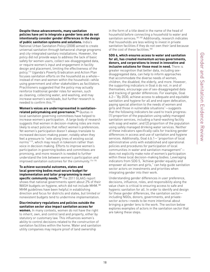<span id="page-17-0"></span>**Despite these advancements, many sanitation policies have yet to integrate a gender lens and do not intentionally consider gender differences in the design of public sanitation systems and solutions.** India's National Urban Sanitation Policy (2008) aimed to create universal sanitation through behavioral change programs and city-integrated sanitary installations. However, the policy did not provide ways to address the lack of basic safety for women users, collect sex-disaggregated data, or require women's input and engagement in facility design and placement, limiting the effectiveness of the policy[.172](#page-26-0) Uganda's Poverty Eradication and Action Plan focuses sanitation efforts on the household as a whole instead of men and women within the household—while using government and other stakeholders as facilitators. Practitioners suggested that the policy may actually reinforce traditional gender roles for women, such as cleaning, collecting water, and washing, and may increase women's workloads, but further research is needed to confirm this.[173](#page-26-0)

**Women's voices are underrepresented in sanitationrelated policymaking and governance.[174](#page-26-0)** Quotas in

local sanitation governing committees have helped to increase women's participation. A large body of research suggests that women in decision-making roles are more likely to enact policies that reflect women's preferences. Yet women's participation doesn't always translate to increased decision-making power, notably when they feel a pressure to "vote along lines of existing social norms"[175](#page-26-0), which may result in tokenism rather than voice in decision making. Efforts to improve women's participation in governing bodies and committees are promising, and more research is needed to further understand the link between women's participation and improved sanitation outcomes for the community[.176-178](#page-26-0) 

#### **To achieve successful outcomes, states and local governing bodies must secure budget for implementation and tailor programming to meet specific community needs[.179](#page-26-0)** The 2011 GLAAS report

shows that national governments spent about 2% of their WASH budgets on hygiene, which did not include MHM.<sup>[180](#page-26-0)</sup> MHM guidelines have been helpful in establishing direction and focus for districts and states, but limited or nonexistent budgets tend to undermine implementation.

#### **Discriminatory regulations and policies outside the sanitation sector also impact sanitation access for women.** In many contexts, women do not have the right

to inherit, own, and control land and property, either by statutory or customary law. This influences women's ability to control decisions related to the construction of sanitation facilities within the home. Water and sanitation utility companies may require proof of land ownership

in the form of a title deed in the name of the head of household before connecting a household to water and sanitation services.<sup>181,182</sup> Additionally, research indicates that households are less willing to invest in private sanitation facilities if they do not own their land because of the cost of these facilities.<sup>183</sup>

**SDG 6, which ensures access to water and sanitation for all, has created momentum across governments, donors, and corporations to invest in innovative and inclusive solutions for those most in need.** There is greater recognition that better data, including sexdisaggregated data, can help to inform approaches that accommodate the diverse needs of women, children, the disabled, the elderly, and more. However, the supporting indicators in Goal 6 do not, in and of themselves, encourage use of sex-disaggregated data and tracking of gender differences. For example, Goal 6.2—"By 2030, achieve access to adequate and equitable sanitation and hygiene for all and end open defecation, paying special attention to the needs of women and girls and those in vulnerable situations"—suggests that the following indicators be used to track progress: (1) proportion of the population using safely managed sanitation services, including a hand-washing facility with soap and water; and (2) proportion of the population using safely managed drinking water services. Neither of these indicators specifically calls for tracking gender differences in access and use of sanitation and hygiene services. Additionally, Goal 6.b.1—"proportion of local administrative units with established and operational policies and procedures for participation of local communities in water and sanitation management" does not explicitly make note of women's participation within these local decision-making bodies. Leveraging indicators from SDG 5, "Achieve gender equality and empower all women and girls," can help guide sanitation sector actors on investments and priorities when integrating gender into their work.

Understanding gender differences in user preference, decisions, influence, roles, and responsibility along the value chain is critical to ensuring access to safe and hygienic sanitation for all. In order to identify and design for these gender differences, the sanitation sector including NGOs, donors, governments, and privatesector actors—needs to be more intentional about bringing a gender lens to the work. The section below explores examples of actors in the sanitation sector that are taking these steps.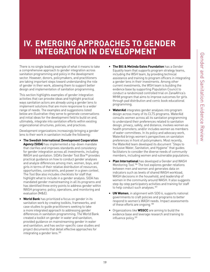# <span id="page-18-0"></span>**IV. EMERGING APPROACHES TO GENDER INTEGRATION IN DEVELOPMENT**

There is no single leading example of what it means to take a comprehensive approach to gender integration across sanitation programming and policy in the development sector. However, donors, policymakers, and practitioners are taking important steps toward understanding the role of gender in their work, allowing them to support better design and implementation of sanitation programming.

This section highlights examples of gender integration activities that can provoke ideas and highlight practical ways sanitation actors are already using a gender lens to implement solutions that are more responsive to a wider range of needs. The examples and suggestions listed below are illustrative–they serve to generate conversations and initial ideas for the development field to build on and, ultimately, integrate into sanitation efforts within existing organizational structures, policies, and practices.

Development organizations increasingly bringing a gender lens to their work in sanitation include the following:

- **• The Swedish International Development Cooperation Agency (SIDA)** has implemented a top-down mandate that clarifies and improves standards and consistency for gender integration across all investments, including WASH and sanitation. SIDA's Gender Tool Box<sup>184</sup> provides practical guidance on how to conduct gender analyses and analyze differences among men, women, boys, and girls in terms of their relative distribution of resources, opportunities, constraints, and power in a given context. The Tool Box also includes checklists for staff that highlight what to include in a gender analysis. SIDA has mandated gender mainstreaming in all its programs and has identified three entry points to address gender within WASH programs: policy, operations, and monitoring and evaluation (M&E).
- **• World Bank** has prioritized a focus on gender in its sanitation work by creating toolkits, frameworks, and case studies to guide practitioners seeking to take a more integrated approach to addressing gender differences in sanitation programming. The World Bank created a toolkit on gender in water and sanitation, provided guidance on mainstreaming gender in water and sanitation, and has sector-specific case studies and project documents that detail effective approaches for integrating a gender lens[.185](#page-26-0)
- **• The Bill & Melinda Gates Foundation** has a Gender Equality team that supports program strategy teams, including the WSH team, by providing technical assistance and training to program officers in integrating a gender lens in their investments. Among other current investments, the WSH team is building the evidence base by supporting Population Council to conduct a randomized controlled trial on ZanaAfrica's MHM program that aims to improve outcomes for girls through pad distribution and comic book educational programming.
- **• WaterAid** integrates gender analyses into program design across many of its CLTS programs. WaterAid consults women across all its sanitation programming to understand their preferences related to sanitation design, privacy, safety, and distance; involves women as health promoters; and/or includes women as members of water committees. In its policy and advocacy work, WaterAid brings women's perspectives on sanitation preferences in front of policymakers. Most recently, the WaterAid team developed its document "Steps to Inclusive Water, Sanitation, and Hygiene" that guides facilitators to consider the diverse needs of community members, including women and vulnerable populations.
- **• Plan International** has developed a Gender and WASH Monitoring Tool.[186](#page-26-0) The tool explores gender relations between men and women and generates data on indicators such as levels of shared WASH workload, WASH decisions in the household, and leadership of women in the community around WASH. It also suggests step-by-step participatory activities and training for staff to help conduct such analyses.<sup>187</sup>
- **• UN Women**, in alignment with SDG 6, supports national governments to craft policies and programs to better respond to women's WASH needs. Impact assessments of these efforts are ongoing[.188](#page-26-0)
- Organizations like **WSSCC** are aiming to build the evidence base and leverage research and training to influence policy[.189](#page-26-0)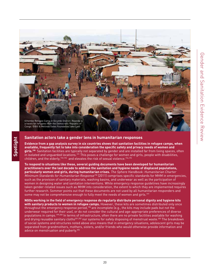<span id="page-19-0"></span>

## **Sanitation actors take a gender lens in humanitarian responses**

**Spotlight**

**Evidence from a gap analysis survey in six countries shows that sanitation facilities in refugee camps, when available, frequently fail to take into consideration the specific safety and privacy needs of women and girls[.190](#page-26-0)** Sanitation facilities are typically not separated by gender and are installed far from living spaces, often in isolated and unguarded locations.<sup>191</sup> This poses a challenge for women and girls, people with disabilities, children, and the elderly[,192,193](#page-26-0) and elevates the risk of sexual violence.[194,195](#page-26-0) 

**To respond to situations like these, several guiding documents have been developed for humanitarian practitioners over the last decade to address the sanitation and hygiene needs of displaced populations, particularly women and girls, during humanitarian crises.** The Sphere Handbook: Humanitarian Charter Minimum Standards for Humanitarian Response<sup>[196](#page-26-0)</sup> (2011) comprises specific standards for MHM in emergencies, such as the provision of sanitary materials, washing basins, and underwear as well as the participation of women in designing water and sanitation interventions. While emergency response guidelines have increasingly taken gender-related issues such as MHM into consideration, the extent to which they are implemented requires further research. Sommer points out that these documents are not used by all humanitarian responders and some may not be comprehensive enough to fully meet the needs of women and girls.<sup>[197](#page-26-0)</sup>

**NGOs working in the field of emergency response do regularly distribute personal dignity and hygiene kits**  with sanitary products to women in refugee camps. However, these kits are sometimes distributed only once throughout the emergency response period,[198](#page-26-0) are incomplete (e.g., the kits may include pads but not the underwear required for their use), or do not consider the cultural and age-appropriate preferences of diverse populations in camps.[199,200](#page-26-0) In terms of infrastructure, often there are no private facilities available for washing and drying reusable sanitary cloths<sup>201,202</sup> nor systems for safely disposing of menstrual waste.<sup>203</sup> The breakdown of social systems and structures noted above also means that in emergency situations, adolescent girls may be separated from grandmothers, mothers, sisters, and/or friends who would otherwise provide information and advice on menstruation and puberty[.204](#page-26-0)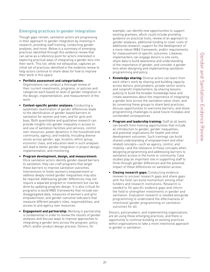## **Emerging practices in gender integration**

Though gaps remain, sanitation actors are progressing in their approach to gender integration by investing in research, providing staff training, conducting gender analyses, and more. Below is a summary of emerging practices identified through this evidence review that can serve as a reference point for actors interested in exploring practical ways of integrating a gender lens into their work. This list, while not exhaustive, captures an initial set of practices identified in the evidence review to help actors continue to share ideas for how to improve their work in this space.

- **• Portfolio assessment and categorization:**  Organizations can conduct a thorough review of their current investments, programs, or policies and categorize each based on level of gender integration in the design, implementation, and measurement of the work.
- **• Context-specific gender analyses:** Conducting a systematic examination of gender differences leads to the identification of gender-based barriers to sanitation for women and men, and for girls and boys. Both quantitative and qualitative research can provide insights into gender inequality in access to and use of sanitation facilities and services, control over resources, power dynamics in the household and community, agency, and mobility. Including diverse voices across gender, age, location, ethnic group, economic class, and education level in such analyses will lead to better gender integration in project design, implementation, and monitoring.
- **• Program development, design, and measurement:**  Once sanitation actors identify gender-based barriers to sanitation, they can craft programs that target these barriers to improve sanitation outcomes. Interventions to foster women's empowerment or address deeply rooted gender inequalities may also be required. Addressing gender differences may not require a separate program or investment but can be done by updating program design. It is also critical for programs to build M&E frameworks that include sexdisaggregated data, measures of women's and girls' empowerment, and gender-sensitive indicators that measure different people's roles, responsibilities, and access to and agency over resources.
- **• Engagement and partnership:** Working in partnership is fundamental in order to review the results of gender analyses and discuss ways to improve approaches to integrating a gender lens across the program, policy effort, and/or product design process. Donors, for

example, can identify new opportunities to support existing grantees, which could include providing guidance on practical tools, review of an approach to gender analyses, additional funding to cover costs of additional research, support for the development of a more robust M&E framework, and/or requirements for measurement of specific outcomes. Likewise, implementers can engage donors in site visits, share data to build awareness and understanding of the importance of gender, and consider a gender lens when designing and implementing sanitation programming and policy.

- **• Knowledge sharing:** Diverse actors can learn from each other's work by sharing and building capacity across donors, policymakers, private-sector actors, and nonprofit implementers; by sharing lessons publicly to build the broader knowledge base and create awareness about the importance of integrating a gender lens across the sanitation value chain; and by convening these groups to share best practices, discuss opportunities to overcome barriers, and share programming challenges to avoid future mistakes and unintended consequences.
- **• Program and leadership training:** Staff at all levels can benefit from training opportunities that include an introduction to gender, gender inequalities, and potential implications for health and other development outcomes. Such trainings can build shared understanding of empowerment and other related concepts—such as agency, control, and mobility—and the relevance of these concepts when designing programming and addressing barriers to sanitation access in the home or community. Case studies play an important role in supporting staff to think through gender differences and the potential impact of these differences on sanitation access.
- **• Closing research gaps:** Conducting evidence reviews to uncover research gaps and share gaps with the field can build momentum among other funders and research institutions. Research is needed to fill specific evidence gaps and inform the field to strengthen investments in gender and sanitation. Evaluation research is needed alongside programming to understand the effectiveness of intentional gender programming on sanitation outcomes for all.

Donors, policymakers, and implementing organizations are all using these emerging practices, and there is opportunity to continue building on existing practices within organizations to take a more intentional approach to gender in sanitation.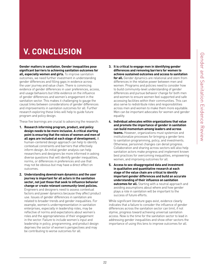# **V. CONCLUSION**

**Gender matters in sanitation. Gender inequalities pose significant barriers to achieving sanitation outcomes for all, especially women and girls.** To improve sanitation outcomes, we need further investment in understanding gender differences and filling gaps in evidence across the user journey and value chain. There is convincing evidence of gender differences in user preferences, access, and usage behaviors but little evidence on the influence of gender differences and women's engagement in the sanitation sector. This makes it challenging to gauge the causal links between considerations of gender differences and improvements in sanitation outcomes for all. Further research exploring these links will help to guide future program and policy design.

These five learnings are crucial to advancing the research:

- **1. Research informing program, product, and policy design needs to be more inclusive. A critical starting point is ensuring that the voices of women and men of all ages are included at each stage of development.** A human-centered design approach can help to identify contextual constraints and barriers that effectively inform design. An initial gender analysis can help researchers and designers be more informed in asking diverse questions that will identify gender inequalities, norms, or differences in preferences and use that may not be obvious but may have a direct effect on outcomes.
- **2. Understanding downstream dynamics and the user journey is important for all actors in the sanitation sector, not just those that seek to influence behavior change or create relevant community-level policies.**  Engineers and designers need to assess contextual factors and power dynamics because they affect product use. Issues of gender differences in sanitation are related to broader trends and gender inequalities. For example, women's underrepresentation in sanitation enterprises, especially in leadership roles, may be reflective of norms and expectations about women's roles and the appropriateness of their engagement in the sector. Failure to include women's input and leadership in policy, programming, and product design deprives the sector of women's perspectives and may be contributing to worse outcomes for all.
- **3. It is critical to engage men in identifying gender differences and removing barriers for women to achieve sustained outcomes and access to sanitation for all.** Gender dynamics are relational and stem from differences in the relative power between men and women. Programs and policies need to consider how to build community-level understanding of gender differences and pursue behavior change for both men and women to ensure women feel supported and safe accessing facilities within their communities. This can also serve to redistribute roles and responsibilities across men and women to make them more equitable. Men can be important advocates for women and gender equality.
- **4. Individual advocates within organizations that value and promote the importance of gender in sanitation can build momentum among leaders and across teams.** However, organizations must systemize and institutionalize processes for bringing a gender lens to sanitation programming, policy, and investments. Otherwise, personnel changes can derail progress. Collaboration and sharing across sectors will also help sanitation actors make progress and implement known best practices for overcoming inequalities, empowering women, and improving outcomes for all.
- **5. Access to sex-disaggregated data and investment in qualitative and quantitative research at each stage of the value chain are critical to identify important gender differences and build an accurate understanding of their influence on sanitation outcomes for all.** Starting with a neutral approach and avoiding assumptions about where and how gender plays a role in sanitation will be important to the success of future efforts.

While significant literature gaps exist, evidence clearly indicates that a failure to consider the influence of gender differences across the sanitation sector can limit, if not stymie, progress toward achieving universal sanitation access. Now is the time for the sanitation sector to lead in addressing gender inequalities and show other sectors the importance of using this lens to improve outcomes for all.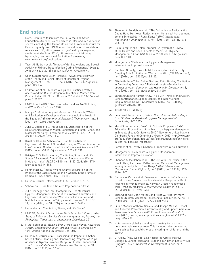## <span id="page-22-0"></span>**End notes**

- 1. [Note: Definitions taken from the Bill & Melinda Gates](#page-4-0)  [Foundation's Gender Lexicon, which is informed by a variety of](#page-4-0)  [sources including the African Union, the European Institute for](#page-4-0)  [Gender Equality, and UN Women.](#page-4-0) The definition of sanitation references CDC, [https://www.cdc.gov/healthywater/global/](https://www.cdc.gov/healthywater/global/sanitation/index.html) [sanitation/index.html;](https://www.cdc.gov/healthywater/global/sanitation/index.html) WHO, [http://www.who.int/topics/](http://www.who.int/topics/hygiene/en/) [hygiene/en/;](http://www.who.int/topics/hygiene/en/) and WaterAid Sanitation Framework, [www.wateraid.org/publications.](http://www.wateraid.org/publications)
- Yaser Ali Badran et al., "Impact of Genital Hygiene and Sexual [Activity on Urinary Tract Infection During Pregnancy,"](#page-6-0) Urology Annals 7[, no. 4 \(2015\), doi:10.4103/0974-7796.157971.](#page-6-0)
- Colin Sumpter and Belen Torondel, "A Systematic Review [of the Health and Social Effects of Menstrual Hygiene](#page-6-0)  [Management," PLoS ONE 8, no. 4 \(2013\), doi:10.1371/journal.](#page-6-0) [pone.0062004.](#page-6-0)
- Padma Das et al., "Menstrual Hygiene Practices, WASH [Access and the Risk of Urogenital Infection in Women from](#page-6-0)  [Odisha, India," PLOS ONE 10, no. 6 \(2015\), doi:10.1371/journal.](#page-6-0) [pone.0130777.](#page-6-0)
- 5. [UNICEF and WHO, "Diarrhoea: Why Children Are Still Dying](#page-6-0)  [and What Can Be Done," 2009.](#page-6-0)
- 6. [Maggie A. Montgomery and Menachem Elimelech, "Water](#page-6-0)  [And Sanitation in Developing Countries: Including Health in](#page-6-0)  the Equation," [Environmental Science & Technology](#page-6-0) 41, no. 1 [\(2007\), doi:10.1021/es072435t.](#page-6-0)
- June J. Cheng et al., "An Ecological Quantification of the [Relationships between Water, Sanitation and Infant, Child, and](#page-6-0)  [Maternal Mortality,"](#page-6-0) Environmental Health 11, no. 1 (2012), [doi:10.1186/1476-069x-11-4.](#page-6-0)
- 8. [Krushna Chandra Sahoo et al., "Sanitation-Related](#page-6-0)  [Psychosocial Stress: A Grounded Theory of Women Across the](#page-6-0)  [Life-Course in Odisha, India,"](#page-6-0) Social Science & Medicine 139 [\(2015\), doi.org/10.1016/j.socscimed.2015.06.031.](#page-6-0)
- 9. [Kristyna R. S. Hulland et al., "Sanitation, Stress, and Life](#page-6-0)  [Stage: A Systematic Data Collection Study among Women](#page-6-0)  in Odisha, India," PLOS ONE [10, no. 11 \(2015\), doi:10.1371/](#page-6-0) [journal.pone.0141883.](#page-6-0)
- 10. [Keren Massey, "Insecurity and Shame Exploration of the](#page-6-0)  [Impact of the Lack of Sanitation on Women in the Slums of](#page-6-0)  [Kampala," Issue brief, SHARE \(2011\).](#page-6-0)
- 11. [Bethany Caruso, interview with FSG, October 5, 2016.](#page-6-0)
- 12. [Sahoo et al., "Sanitation-Related Psychosocial Stress"](#page-6-0)
- 13. [Julie Hennegan and Paul Montgomery, "Do Menstrual](#page-6-0)  [Hygiene Management Interventions Improve Education and](#page-6-0)  [Psychosocial Outcomes for Women and Girls in Low and](#page-6-0)  [Middle Income Countries? A Systematic Review," PLOS ONE](#page-6-0)  [11, no. 2 \(2016\), doi:10.1371/journal.pone.0146985.](#page-6-0)
- 14. [Hulland et al., "Sanitation, Stress, and Life Stage"](#page-6-0)
- 15. UNICEF, [Equity of Access to WASH in Schools: A Comparative](#page-7-0)  [Study of Policy and Service Delivery in Kyrgyzstan, Malawi, the](#page-7-0)  [Philippines, Timor-Leste, Uganda and Uzbekistan](#page-7-0), 2011.
- 16. Murat Sahin et al., [Raising Even More Clean Hands: Advancing](#page-7-0)  [Health, Learning and Equity through WASH in School](#page-7-0), New [York: United Nations Children's Fund, 2012.](#page-7-0)
- 17. [Bethany A. Caruso et al., "Assessing the Impact of a School](#page-7-0)[based Latrine Cleaning and Handwashing Program on Pupil](#page-7-0)  [Absence in Nyanza Province, Kenya: A Cluster-Tandomized](#page-7-0)  Trial," [Tropical Medicine & International Health](#page-7-0) 19, no. 10 [\(2014\), doi:10.1111/tmi.12360.](#page-7-0)
- 18. [Shannon A. McMahon et al., "'The Girl with Her Period Is the](#page-7-0)  [One to Hang Her Head' Reflections on Menstrual Management](#page-7-0)  [among Schoolgirls in Rural Kenya,"](#page-7-0) BMC International Health and Human Rights [11, no. 1 \(2011\), doi:10.1186/1472-](#page-7-0) [698x-11-7.](#page-7-0)
- 19. [Colin Sumpter and Belen Torondel, "A Systematic Review](#page-7-0)  [of the Health and Social Effects of Menstrual Hygiene](#page-7-0)  Management," PLoS ONE [8, no. 4 \(2013\), doi:10.1371/journal.](#page-7-0) [pone.0062004.](#page-7-0)
- 20. [Montgomery, "Do Menstrual Hygiene Management](#page-7-0)  [Interventions Improve Education"](#page-7-0)
- 21. [Kathleen O'Reilly, "From Toilet Insecurity to Toilet Security:](#page-7-0)  [Creating Safe Sanitation for Women and Girls," WIREs Water 3,](#page-7-0)  [no. 1 \(2016\), doi:10.1002/wat2.1122.](#page-7-0)
- 22. [Elizabeth Anne Tilley, Sabin Bieri and Petra Kohler, "Sanitation](#page-7-0)  [in Developing Countries: A Review through a Gender Lens,"](#page-7-0)  [Journal of Water, Sanitation and Hygiene for Development](#page-7-0) 3, [no. 3 \(2013\), doi:10.2166/washdev.2013.090.](#page-7-0)
- 23. [Sarah Jewitt and Harriet Ryley, "It's a Girl Thing: Menstruation,](#page-7-0)  [School Attendance, Spatial Mobility and Wider Gender](#page-7-0)  Inequalities in Kenya," Geoforum [56 \(2014\), doi:10.1016/j.](#page-7-0) [geoforum.2014.07.006.](#page-7-0)
- 24. [Jewitt, "It's a Girl Thing"](#page-7-0)
- 25. Selamawit Tamiru et al., [Girls in Control: Compiled Findings](#page-7-0)  [from Studies on Menstrual Hygiene Management of](#page-7-0)  Schoolgirls[, SNV, 2015.](#page-7-0)
- 26. [Marni Sommer et al., "WASH in Schools Empowers Girls'](#page-7-0)  [Education: Proceedings of the Menstrual Hygiene Management](#page-7-0) [in Schools Virtual Conference 2012," New York: United Nations](#page-7-0)  [Children's Fund and Columbia University, 2013](#page-7-0), [http://www.snv.](http://www.snv.org/public/cms/sites/default/files/explore/download/snv_girls_in_control_baseline_rep) [org/public/cms/sites/default/files/explore/download/snv\\_girls\\_](http://www.snv.org/public/cms/sites/default/files/explore/download/snv_girls_in_control_baseline_rep) [in\\_control\\_baseline\\_report.pdf](http://www.snv.org/public/cms/sites/default/files/explore/download/snv_girls_in_control_baseline_rep)
- 27. [Sommer et al., "WASH in Schools Empowers Girls' Education"](#page-7-0)
- 28. [Montgomery, "Do Menstrual Hygiene Management](#page-7-0)  [Interventions Improve Education"](#page-7-0)
- 29. [Shannon A. McMahon et al., "'The Girl with Her Period Is the](#page-7-0)  [One to Hang Her Head' Reflections on Menstrual Management](#page-7-0)  [among Schoolgirls in Rural Kenya,"](#page-7-0) BMC International Health and Human Rights [11, no. 1 \(2011\), doi:10.1186/1472-](#page-7-0) [698x-11-7.](#page-7-0)
- 30. [Bethany A. Caruso et al., "Assessing the Impact of a School](#page-7-0)[based Latrine Cleaning and Handwashing Program on Pupil](#page-7-0)  [Absence in Nyanza Province, Kenya: A Cluster-randomized](#page-7-0)  Trial," [Tropical Medicine & International Health](#page-7-0) 19, no. 10 [\(2014\), doi:10.1111/tmi.12360.](#page-7-0)
- 31. [Vipul Upadhyay, John Mathai, and Peter W. Reed, Primary](#page-7-0)  [School Children: Access to Toilets. Acta Paediatrica, 97, no. 11](#page-7-0)  [\(2008\), doi: 10.1111/j.1651-2227.2008.00969.x.](#page-7-0)
- 32. [Lillian Mwanri, Anthony Worsley, and Joseph Masika, School](#page-7-0)  [and Anaemia Prevention: Current Reality and Opportunities—A](#page-7-0)  [Tanzanian Case Study,](#page-7-0) Health Promotion International 16, [no. 4 \(2001\), doi-org.offcampus.lib.washington.edu/10.1093/](#page-7-0) [heapro/16.4.321.](#page-7-0)
- 33. [Note: Women globally spend approximately twice as much](#page-7-0)  [time on unpaid work as men. This includes labor done for no](#page-7-0)  [pay, such as household chores and caring for children and the](#page-7-0)  [elderly.](#page-7-0)
- 34. [Di Kilsby, "Now We Feel Like Respected Adults: Positive](#page-7-0)  [Change in Gender Roles and Relations in A Timor-Leste WASH](#page-7-0)  Program," [ACFID Research in Development](#page-7-0) Series, no. 6 [\(2012\).](#page-7-0)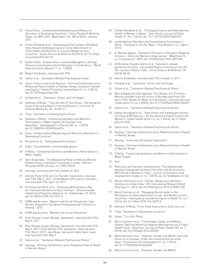- <span id="page-23-0"></span>35. [Cheryl Doss, "Intrahousehold Bargaining and Resource](#page-7-0)  [Allocation in Developing Countries,"](#page-7-0) Policy Research Working Paper, no. WPS 6337, Washington, DC: World Bank, January [2013.](#page-7-0)
- 36. [Esther Richards et al., "Going beyond the Surface: Gendered](#page-7-0)  [Intra-Household Bargaining as a Social Determinant of](#page-7-0)  [Child Health and Nutrition in Low and Middle Income](#page-7-0)  Countries," Social Science & Medicine [95 \(2013\), doi:10.1016/j.](#page-7-0) [socscimed.2012.06.015.](#page-7-0)
- 37. [Esther Duflo, "Grandmothers and Granddaughters: Old-Age](#page-7-0)  [Pensions and Intrahousehold Allocation in South Africa,"](#page-7-0) World [Bank Economic Review](#page-7-0) 17, no. 1 (2003).
- 38. [Robert Dreibelbis, interview with FSG.](#page-8-0)
- 39. [Sahoo et al., "Sanitation-Related Psychosocial Stress"](#page-8-0)
- 40. [Jason Corburn and Irene Karanja, "Informal Settlements and a](#page-8-0)  [Relational View of Health in Nairobi, Kenya: Sanitation, Gender](#page-8-0)  and Dignity," [Health Promotion International](#page-8-0) 31, no. 2 (2016), [doi:10.1093/heapro/dau100.](#page-8-0)
- 41. [Hulland et al., "Sanitation, Stress, and Life Stage"](#page-8-0)
- 42. [Kathleen O'Reilly, "'They Are Not of This House': The Gendered](#page-8-0)  [Costs of Drinking Water's Commodification,"](#page-8-0) Economic & Political Weekly [46, No. 18 \(2011\).](#page-8-0)
- 43. [Tilley, "Sanitation in Developing Countries"](#page-8-0)
- 44. [Kathleen O'Reilly, "Combining Sanitation and Women's](#page-8-0)  [Participation in Water Supply: An Example from](#page-8-0)  Rajasthan," [Development in Practice](#page-8-0) 20, no. 1 (2010), [doi:10.1080/09614520903436976.](#page-8-0)
- 45. [Doss, "Intrahousehold Bargaining and Resource Allocation in](#page-8-0)  [Developing Countries"](#page-8-0)
- 46. [Richards et al., "Going beyond the Surface"](#page-8-0)
- 47. [Duflo, "Grandmothers and Granddaughters"](#page-8-0)
- 48. [O'Reilly, "Combining Sanitation and Women's Participation in](#page-8-0)  [Water Supply"](#page-8-0)
- 49. [Yaniv Stopnitzky, "The Bargaining Power of Missing Women:](#page-8-0)  [Evidence from a Sanitation Campaign in India,"](#page-8-0) Munich Personal RePEc Archive[, no. 37841 \(2012\).](#page-8-0)
- 50. [Isha Ray, interview with FSG, October 5, 2016.](#page-8-0)
- 51. [Andrew Foote \(CEO and Co-Founder, Sanivation\), interview](#page-9-0)  [with FSG, May 2, 2017.; Emily Woods \(CTO and Co-Founder\),](#page-9-0)  [interview with FSG, April 14, 2017.](#page-9-0)
- 52. [52 Hoang Van Minh et al., "Assessing Willingness to Pay](#page-9-0)  [for Improved Sanitation in Rural Vietnam,"](#page-9-0) Environmental Health and Preventive Medicine[, no. 4 \(November 10, 2012\),](#page-9-0)  [doi:10.1007/s12199-012-0317-3.](#page-9-0)
- 53. [ICRW and Acumen, "Women and Social Enterprises: How](#page-9-0)  [Gender Integration Can Boost Entrepreneurial Solutions to](#page-9-0)  [Poverty," 2015.](#page-9-0)
- 54. [ICRW and Acumen, "Women and Social Enterprises"](#page-9-0)
- 55. [Elise Guinee Cooper \(Design, Sanivation\), interview with FSG,](#page-9-0)  [May 9, 2017.](#page-9-0)
- 56. [Elise Guinee Cooper \(Design, Sanivation\), interview with FSG,](#page-9-0)  [May 9, 2017; Emily Woods, CFO, Sanivation, Interview with](#page-9-0)  [FSG, May 2, 2017; Jane Mugo, Sanivation Sales Team Lead,](#page-9-0)  [Interview with FSG, May 9,](#page-9-0)
- 57. [Sahoo et al., "Sanitation-Related Psychosocial Stress"](#page-10-0)
- 58. [Karanja, "Informal Settlements and a Relational View of Health](#page-10-0)  [in Nairobi, Kenya"](#page-10-0)
- 59. [Chhabi Ranabhat et al., "Chhaupadi Culture and Reproductive](#page-10-0)  [Health of Women in Nepal,"](#page-10-0) Asia-Pacific Journal of Public Health [27, No. 7 \(2015\), doi: 10.1177/1010539515602743.](#page-10-0)
- 60. [United Nations Resident and Humanitarian Coordinator's](#page-10-0)  [Office, "Chaupadi in the Far-West,"](#page-10-0) Field Bulletin, no. 1 (April [2011\).](#page-10-0)
- 61. [61 Marilyn Ngales, "Sanitation Provision in Ethiopia's Regional](#page-10-0)  Schools - Girls' and Women's Experiences," Waterlines 25, [no. 3 \(January 01, 2007\), doi:10.3362/0262-8104.2007.004.](#page-10-0)
- 62. [62 Krushna Chandra Sahoo et al, "Sanitation-related](#page-10-0)  [psychosocial stress: A grounded theory of women across the](#page-10-0)  [life-course in Odisha, India,"](#page-10-0) Social Science & Medicine 139 [\(2015\), 80-89.](#page-10-0)
- 63. [Robert Dreibelbis, interview with FSG, October 6, 2016](#page-10-0)
- 64. [Hulland et al., "Sanitation, Stress, and Life Stage"](#page-10-0)
- 65. [Sahoo et al., "Sanitation-Related Psychosocial Stress"](#page-10-0)
- 66. [Meera Bapat and Indu Agarwal, "Our Needs, Our Priorities;](#page-10-0)  [Women and Men from the Slums in Mumbai and Pune Talk](#page-10-0)  [about Their Needs for Water and Sanitation,"](#page-10-0) Environment and Urbanization [15, no. 2 \(2003\), doi:10.1177/095624780301500221.](#page-10-0)
- 67. [Sahoo et al., "Sanitation-Related Psychosocial Stress"](#page-10-0)
- 68. [Vidhya Venugopal et al., "Heat Stress and Inadequate Sanitary](#page-10-0)  [Facilities at Workplaces – An Occupational Health Concern for](#page-10-0)  Women?" Global Health Action [14, no. 9 \(2016\), doi:10.3402/](#page-10-0) [gha.v9.31945.](#page-10-0)
- 69. [Sahoo et al., "Sanitation-Related Psychosocial Stress"](#page-10-0)
- Karanja, "Informal Settlements and a Relational View of Health [in Nairobi, Kenya"](#page-10-0)
- 71. [Massey, "Insecurity and Shame Exploration"](#page-10-0)
- 72. [Karanja, "Informal Settlements and a Relational View of Health](#page-10-0)  [in Nairobi, Kenya"](#page-10-0)
- 73. [O'Reilly, "Combining Sanitation and Women's Participation in](#page-10-0)  [Water Supply"](#page-10-0)
- 74. [Ibid.](#page-10-0)
- 75. [Mark Gius and Ramesh Subramanian, "The Relationship](#page-11-0)  [between Inadequate Sanitation Facilities and the Economic](#page-11-0)  [Well-Being of Women in India,"](#page-11-0) Journal of Economics and Development Studies [3, no. 1 \(2015\), doi:10.15640/jeds.v3n1a2.](#page-11-0)
- 76. [Miriam Hartmann et al., "Gender-Responsive Sanitation](#page-11-0)  [Solutions in Urban India,"](#page-11-0) RTI International Research Brief, [\(February 11, 2015\), doi:10.3768/rtipress.2015.rb.0009.1502.](#page-11-0)
- 77. [Marni Sommer et al., "Managing Menstruation in the](#page-11-0)  [Workplace: An Overlooked Issue in Low- and Middle-income](#page-11-0)  Countries," [International Journal for Equity in Health](#page-11-0) 15, no. 1 [\(2016\), doi:10.1186/s12939-016-0379-8.](#page-11-0)
- 78. [Kathleen O'Reilly, "From Toilet Insecurity to Toilet Security"](#page-11-0)
- 79. [Tilley, "Sanitation in Developing Countries"](#page-11-0)
- 80. [Jewitt, "It's a Girl Thing"](#page-11-0)
- 81. [Marni Sommer et al., "Comfortably, Safely, and Without](#page-11-0)  [Shame: Defining Menstrual Hygiene Management as a Public](#page-11-0)  Health Issue," [American Journal of Public Health](#page-11-0) 105, no. 7 [\(2015\), doi:10.2105/ajph.2014.302525.](#page-11-0)
- 82. [Marni Sommer et al., "Violence, Gender and WASH: Spurring](#page-11-0)  [Action on a Complex, Under-documented and Sensitive](#page-11-0)  Topic," [Environment & Urbanization](#page-11-0) 27, no. 1 (2014), [doi:10.1177/0956247814564528.](#page-11-0)
- 83. [Marni Sommer et al., "Violence, Gender and WASH"](#page-11-0)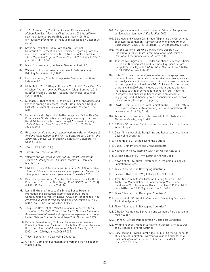- <span id="page-24-0"></span>84. [Jo De Berry et al., "Children of Kabul: Discussions with](#page-11-0)  [Afghan Families,"](#page-11-0) Save the Children, July 2003, [http://www.](http://www.savethechildren.org/atf/cf/{9def2ebe-10ae-432c-9bd0-df91d2eba74a}/children_of_kabul.pdf) [savethechildren.org/atf/cf/{9def2ebe-10ae-432c-9bd0](http://www.savethechildren.org/atf/cf/{9def2ebe-10ae-432c-9bd0-df91d2eba74a}/children_of_kabul.pdf) [df91d2eba74a}/children\\_of\\_kabul.pdf](http://www.savethechildren.org/atf/cf/{9def2ebe-10ae-432c-9bd0-df91d2eba74a}/children_of_kabul.pdf) (accessed on October 25, 2016).
- 85. [Séverine Thys et al., "Why Latrines Are Not Used:](#page-11-0)  [Communities' Perceptions and Practices Regarding Latrines](#page-11-0)  [in a Taenia Solium Endemic Rural Area in Eastern Zambia,"](#page-11-0)  PLOS Neglected Tropical Diseases [9, no. 3 \(2015\), doi:10.1371/](#page-11-0) [journal.pntd.0003570.](#page-11-0)
- 86. [Marni Sommer et al., "Violence, Gender and WASH"](#page-11-0)
- 87. [WaterAid, "1 in 3 Women Lack Access to Safe Toilets: A](#page-11-0)  [Briefing From Wateraid," 2012.](#page-11-0)
- 88. [Hartmann et al., "Gender-Responsive Sanitation Solutions in](#page-11-0)  [Urban India"](#page-11-0)
- 89. [Nisha Bala, "The 3 Biggest Reasons That India's Girls Drop Out](#page-11-0)  of School," American India Foundation [\(blog\), Summer 2014,](#page-11-0) http://aif.org/the-3-biggest-reasons-that-indias-girls-dropout-of-school/.
- 90. [Subhash B. Thakre et al., "Menstrual Hygiene: Knowledge and](#page-11-0)  [Practice among Adolescent School Girls of Saoner, Nagpur](#page-11-0)  District." [Journal of Clinical and Diagnostic Research](#page-11-0) 5, no. 5 [\(2011\).](#page-11-0)
- 91. [Paria Baishakhi, Agnihotri Bhattacharyya, and Sukes Das, "A](#page-11-0)  [Comparative Study on Menstrual Hygiene among Urban and](#page-11-0)  [Rural Adolescent Girls of West Bengal,"](#page-11-0) Journal of Family Medical Primary Care [3, no. 4 \(2014\), doi:10.4103/2249-](#page-11-0) [4863.148131.](#page-11-0)
- 92. Rose George, Celebrating Womanhood: How Better Menstrual [Hygiene Management Is the Path to Better Health, Dignity and](#page-11-0)  Business[, Geneva: Water Supply & Sanitation Collaborative](#page-11-0)  [Council, 2013.](#page-11-0)
- 93. [Jewitt, "It's a Girl Thing"](#page-11-0)
- 94. [Tamiru et al.,](#page-11-0) Girls in Control
- 95. Vatsalya and WaterAid, A KAPB Study Report: Menstrual [Hygiene & Management: An Issue Unnoticed](#page-11-0)..., January-[March 2012.](#page-11-0)
- 96. UNICEF, [Equity of Access to WASH in Schools: A Comparative](#page-11-0)  [Study of Policy and Service Delivery in Kyrgyzstan, Malawi, the](#page-11-0)  [Philippines, Timor-Leste, Uganda and Uzbekistan](#page-11-0), 2011.
- 97. [Paul Montgomery et al., "Sanitary Pad Interventions for Girls'](#page-11-0)  [Education in Ghana: A Pilot Study,"](#page-11-0) PLoS ONE 7, no. 10 (2012), [doi:10.1371/journal.pone.0048274.](#page-11-0)
- 98. [Leslie E. Greene, "Impact of a School-Based Hygiene](#page-11-0)  [Promotion and Sanitation Intervention on Pupil Hand](#page-11-0)  [Contamination in Western Kenya: A Cluster Randomized Trial,"](#page-11-0)  [American Journal of Tropical Medicine and Hygiene](#page-11-0) 87, no. 3 [\(2012\), doi:10.4269/ajtmh.2012.11-0633.](#page-11-0)
- 99. Jacquelyn Haver et al., WASH in Schools Empowers Girls' [Education in Masbate Province and Metro Manila, Philippines:](#page-11-0)  [An assessment of menstrual hygiene management in schools,](#page-11-0) [United Nations Children's Fund: New York, November 2013.](#page-11-0)
- 100. [Bahadar Nawab et al., "Cultural Preferences in Designing](#page-11-0)  [Ecological Sanitation Systems in North West Frontier Province,](#page-11-0)  Pakistan," [Journal of Environmental Psychology](#page-11-0) 26, no. 3 [\(2006\), doi:10.1016/j.jenvp.2006.07.005.](#page-11-0)
- 101. [Tilley, "Sanitation in Developing Countries"](#page-11-0)
- 102. [O'Reilly, "Combining Sanitation and Women's Participation in](#page-11-0)  [Water Supply"](#page-11-0)
- 103. [Carolyn Hannan and Ingvar Andersson, "Gender Perspectives](#page-11-0)  [on Ecological Sanitation,"](#page-11-0) EcoSanRes, 2002.
- 104. [Gary Haq and Howard Cambridge, "Exploiting the Co-benefits](#page-11-0)  of Ecological Sanitation," [Current Opinion in Environmental](#page-11-0)  Sustainability [4, no. 4 \(2012\), doi:10.1016/j.cosust.2012.09.002.](#page-11-0)
- 105. IRC and WaterAid, [Beyond Construction: Use By All, A](#page-11-0)  [Collection Of Case Studies From Sanitation And Hygiene](#page-11-0)  [Promotion Practitioners In South Asia](#page-11-0), 2008.
- 106. [Japheth Kwiringira et al., "Gender Variations in Access, Choice](#page-11-0)  [to Use and Cleaning of Shared Latrines; Experiences from](#page-11-0)  [Kampala Slums, Uganda,"](#page-11-0) BMC Public Health 14, no. 1 (2014), [doi:10.1186/1471-2458-14-1180.](#page-11-0)
- 107. [Note: CLTS is a community-wide behavior change approach](#page-11-0)  [that mobilizes communities to undertake their own appraisal](#page-11-0)  [and analysis of sanitation issues and take their own actions to](#page-11-0)  become open defecation-free (ODF). CLTS was first introduced [by WaterAid in 2007 and includes a three-pronged approach](#page-11-0)  [that seeks to trigger demand for sanitation \(pre-triggering\),](#page-11-0)  [\(2\) improve and encourage households to build toilets](#page-11-0)  [\(triggering\), and \(3\) handing over responsibilities for CLTS at](#page-11-0)  [the community level \(post-triggering\)](#page-11-0)
- 108. [SSWM, "Community-Led Total Sanitation](#page-11-0) (CLTS)," 2008, [http://](http://www.sswm.info/content/community-led-total-sanitation-clts) [www.sswm.info/content/community-led-total-sanitation-clts](http://www.sswm.info/content/community-led-total-sanitation-clts)  (accessed on April 29, 2017).
- 109. [Jan Willem Roosenboom, interview with FSG \(Ebele Anidi &](#page-11-0)  [Alexandra Geertz\), May 2, 2017.](#page-11-0)
- 110. [O'Reilly, "Combining Sanitation and Women's Participation in](#page-11-0)  [Water Supply"](#page-11-0)
- 111. [Doss, "Intrahousehold Bargaining and Resource Allocation in](#page-11-0)  [Developing Countries"](#page-11-0)
- 112. [Richards et al., "Going beyond the Surface"](#page-11-0)
- 113. [Duflo, "Grandmothers and Granddaughters"](#page-11-0)
- 114. [Kathleen O'Reilly, interview with FSG, October 26, 2016](#page-11-0)
- 115. [Séverine Thys et al., "Why Latrines Are Not Used"](#page-12-0)
- 116. [Nawab et al., "Cultural Preferences in Designing Ecological](#page-12-0)  [Sanitation Systems"](#page-12-0)
- 117. [Tilley, "Sanitation in Developing Countries"](#page-12-0)
- 118. [Séverine Thys et al., "Why Latrines Are Not Used"](#page-12-0)
- 119. [Jay P. Graham, Mitsuaki Hirai, and Seung-Sup Kim, "An](#page-12-0)  [Analysis of Water Collection Labor among Women and](#page-12-0)  [Children in 24 Sub-Saharan African Countries," PLOS ONE11,](#page-12-0)  [no. 6 \(2016\), doi:10.1371/journal.pone.0155981.](#page-12-0)
- 120. [Tilley, "Sanitation in Developing Countries".](#page-12-0)
- 121. [Nawab et al., "Cultural Preferences in Designing Ecological](#page-12-0)  [Sanitation Systems"](#page-12-0)
- 122. [Tilley, "Sanitation in Developing Countries"](#page-12-0)
- 123. [O'Reilly, "Combining Sanitation and Women's Participation in](#page-12-0)  [Water Supply"](#page-12-0)
- 124. [Hannan, "Gender Perspectives on Ecological Sanitation"](#page-12-0)
- 125. [Kwiringira et al., "Gender Variations in Access, Choice to Use](#page-12-0)  [and Cleaning of Shared Latrines"](#page-12-0)
- 126. [Gary Haq and Howard Cambridge, "Exploiting the Co-benefits](#page-12-0)  of Ecological Sanitation," Current Opinion in Environmental Sustainability [4, no. 4 \(October 2012\): 431-35. doi:10.1016/j.](#page-12-0) [cosust.2012.09.002.](#page-12-0)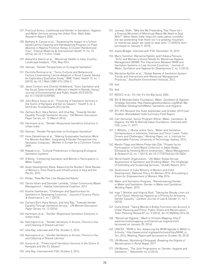- <span id="page-25-0"></span>127. Practical Action, Livelihoods and Gender in Sanitation, Hygiene [and Water Services among the Urban Poor: Maili Saba](#page-12-0)  [Research Report](#page-12-0), 2005.
- 128. [Bethany A. Caruso et al., "Assessing the Impact of a School](#page-12-0)[based Latrine Cleaning and Handwashing Program on Pupil](#page-12-0)  [Absence in Nyanza Province, Kenya: A Cluster-Randomized](#page-12-0)  Trial," [Tropical Medicine & International Health](#page-12-0) 19, no. 10 [\(2014\), doi:10.1111/tmi.12360.](#page-12-0)
- 129. [Alexandra Geertz et al., "Menstrual Health in India: Country](#page-12-0)  [Landscape Analysis," FSG, May 2016.](#page-12-0)
- 130. [Hannan, "Gender Perspectives on Ecological Sanitation"](#page-13-0)
- 131. [Parimita Routray et al., "Socio-Cultural and Behavioural](#page-13-0)  [Factors Constraining Latrine Adoption in Rural Coastal Odisha:](#page-13-0)  [An Exploratory Qualitative Study,"](#page-13-0) BMC Public Health 15, no. 1 [\(2015\), doi:10.1186/s12889-015-2206-3.](#page-13-0)
- 132. [Jason Corburn and Chantal Hildebrand, "Slum Sanitation and](#page-13-0)  [the Social Determinants of Women's Health in Nairobi, Kenya,"](#page-13-0)  [Journal of Environmental and Public Health](#page-13-0) 2015 (2015), [doi:10.1155/2015/209505.](#page-13-0)
- 133. [John Bosco Isunju et al., "Financing of Sanitation Services in](#page-13-0)  [the Slums of Kampala and Dar es Salaam,"](#page-13-0) Health 5, no. 4 [\(2013\) doi:10.4236/health.2013.54104.](#page-13-0)
- 134. [Zachary Burt, Kara Nelson, and Isha Ray, "Towards Gender](#page-13-0)  [Equality Through Sanitation Access," UN Women Discussion](#page-13-0)  [Paper Series, no. 12 \(March 2016\).](#page-13-0)
- 135. [Hartmann et al., "Gender-Responsive Sanitation Solutions in](#page-13-0)  [Urban India"](#page-13-0)
- 136. [Hannan, "Gender Perspectives on Ecological Sanitation"](#page-13-0)
- 137. [Irene Daneklman et al., "Making Sustainable Sanitation Work](#page-13-0)  [For Women And Men: Integrating A Gender Perspective Into](#page-13-0)  Sanitation Initiatives," [Women in Europe for a Common Future,](#page-13-0) [2009.](#page-13-0)
- 138. [Nawab et al., "Cultural Preferences in Designing Ecological](#page-13-0)  [Sanitation Systems"](#page-13-0)
- 139. [O'Reilly, "Combining Sanitation and Women's Participation in](#page-13-0)  [Water Supply"](#page-13-0)
- 140. [Asian Development Bank, Balancing the Burden?](#page-13-0) Desk Review [of Women's Time Poverty and Infrastructure in Asia and the](#page-13-0)  Pacific[, 2015.](#page-13-0)
- 141. [Kilsby, "Now We Feel Like Respected Adults"](#page-13-0)
- 142. [Zarina Ishani and Davinder Lambda, "Urban Community Waste](#page-14-0)  Management," [Habitat International Coalition](#page-14-0), 2012.
- 143. [Kushal Seetharam, "Challenges and Opportunities for](#page-14-0)  [Sanitation in Developing Countries,"](#page-14-0) Journal of Science Policy & Governance [7, no. 1 \(2015\).](#page-14-0)
- 144. [Zachary Burt, Kara Nelson, and Isha Ray, "Towards Gender](#page-14-0)  [Equality Through Sanitation Access,"](#page-14-0) UN Women Discussion Paper Series[, no. 12 \(2016\).](#page-14-0)
- 145. [Hartmann et al., "Gender-Responsive Sanitation Solutions in](#page-14-0)  [Urban India"](#page-14-0)
- 146. [Kwiringira et al., "Gender Variations in Access, Choice to Use](#page-14-0)  and Cleaning of Shared Latrines'
- 147. [Isha Ray, interview with FSG, October 5, 2016.](#page-14-0)
- 148. [Kwiringira et al., "Gender Variations in Access, Choice to Use](#page-14-0)  and Cleaning of Shared Latrines'
- 149. [Isunju et al., "Financing of Sanitation Services in the Slums of](#page-14-0)  [Kampala and Dar Es Salaam"](#page-14-0)
- 150. [Isha Ray, interview with FSG, October 5, 2016.](#page-14-0)
- 151. [Jamwal, Nidhi. "Why Are We Pretending That There Isn't](#page-14-0)  [a Growing Mountain of Menstrual Waste We Need to Deal](#page-14-0)  With?" [Yahoo News India](#page-14-0), [https://in.news.yahoo.com/why](https://in.news.yahoo.com/why-are-we-pretending-that-there-isn-t-a-growing-mountain-of-menstrual-was)[are-we-pretending-that-there-isn-t-a-growing-mountain](https://in.news.yahoo.com/why-are-we-pretending-that-there-isn-t-a-growing-mountain-of-menstrual-was)[of-menstrual-waste-we-need-to-deal-with-111659074.html](https://in.news.yahoo.com/why-are-we-pretending-that-there-isn-t-a-growing-mountain-of-menstrual-was) (accessed on January 9, 2015).
- 152. [Arpita Bhagat, interview with FSG, December 10, 2015.](#page-14-0)
- 153. [Marni Sommer, Marianne Kjellén, and Chibesa Pensulo,](#page-14-0)  ["Girls' and Women's Unmet Needs for Menstrual Hygiene](#page-14-0)  [Management \(MHM\): The Interactions Between MHM and](#page-14-0)  [Sanitation Systems in Low-Income Countries,"](#page-14-0) Journal of [Water, Sanitation and Hygiene for Development](#page-14-0) 3, no. 3 (2013).
- 154. [Marianne Kjellén et al., "Global Review of Sanitation System](#page-14-0)  [Trends and Interactions with Menstrual Management](#page-14-0)  Practices," [Stockholm Environment Institute](#page-14-0), 2012.
- 155. [Ibid.](#page-14-0)
- 156. [Ibid.](#page-15-0)
- 157. WSSCC et al., [For Her It's the Big Issue](#page-15-0), 2006.
- 158. [Bill & Melinda Gates Foundation,](#page-15-0) Water, Sanitation & Hygiene: [Strategy Overview](#page-15-0), [http://www.gatesfoundation.org/What-We-](http://www.gatesfoundation.org/What-We-Do/Global-Development/Water-Sanitation-and-Hygiene)[Do/Global-Development/Water-Sanitation-and-Hygiene](http://www.gatesfoundation.org/What-We-Do/Global-Development/Water-Sanitation-and-Hygiene).
- 159. RTI, [RTI Reinvent the Toilet September and October 2015 User](#page-15-0)  Studies: Ahmedabad[, India Summary Field Report.](#page-15-0)
- 160. [Carl Hensman, Senior Program Officer, Water, Sanitation, &](#page-15-0)  [Hygiene, the Bill & Melinda Gates Foundation, Interview with](#page-15-0)  [FSG, June 11, 2017.](#page-15-0)
- 161. [J. Willetts, J. Murta, and A. Gero, "Water and Sanitation](#page-15-0)  [Entrepreneurs in Indonesia, Vietnam and Timor-Leste: Traits,](#page-15-0)  [Drivers and Challenges,"](#page-15-0) Working Paper, no. 4, Institute for [Sustainable Futures, University of Technology: Sydney, 2016.](#page-15-0)
- 162. [Mesfin Tilaye and Meine Pieter Van Dijk, "Private Sector](#page-15-0)  [Participation in Solid Waste Collection in Addis Ababa](#page-15-0)  [\(Ethiopia\) by Involving Micro-enterprises,"](#page-15-0) Waste Management & Research [32, no. 1 \(2013\), doi:10.1177/0734242x13513826.](#page-15-0)
- 163. [World Health Organization, "UN-Water Global Annual](#page-15-0)  [Assessment of Sanitation and Drinking-Water: The Challenge](#page-15-0)  [of Extending and Sustaining Services,"](#page-15-0) GLAAS Report, 2012.
- 164. [Government of India Ministry of Women and Child](#page-16-0)  Development, [National Policy for Women 2016: Articulating a](#page-16-0)  [Vision for Empowerment of Women,](#page-16-0) May 2016.
- 165. [Water and Sanitation Program, "Mainstreaming Gender](#page-16-0)  [in Water and Sanitation: Gender in Water and Sanitation,"](#page-16-0)  [Working Paper](#page-16-0), 2010.
- 166. [Inga T. Winkler and Virginia Roaf, "Taking the Bloody Linen out](#page-16-0)  [of the Closet: Menstrual Hygiene as a Priority for Achieving](#page-16-0)  Gender Equality," [Cardozo Journal of Law & Gender](#page-16-0) 21, no. 1 [\(2015\).](#page-16-0)
- 167. [Clara Greed, "Taking Women's Bodily Functions into Account in](#page-16-0)  [Urban Planning and Policy: Public Toilets and Menstruation,"](#page-16-0)  Town Planning Review [87, no. 5 \(2016\), doi:10.3828/tpr.2016.35.](#page-16-0)
- 168. "Menstrual Hygiene," [Wash in Schools Mapping](#page-16-0), [http://](http://washinschoolsmapping.com/menstrual-hygiene.html) [washinschoolsmapping.com/menstrual-hygiene.html](http://washinschoolsmapping.com/menstrual-hygiene.html)  (accessed on January 20, 2016).
- 169. [UNICEF, "MHM in Ten: Advancing the MHM Agenda in WASH in](#page-16-0)  [Schools,"](#page-16-0) [http://www.unicef.org/wash/schools/files/MHM\\_in\\_](http://www.unicef.org/wash/schools/files/MHM_in_Ten_2014_Meeting_Report.pdf) [Ten\\_2014\\_Meeting\\_Report.pdf](http://www.unicef.org/wash/schools/files/MHM_in_Ten_2014_Meeting_Report.pdf) (accessed on October 30, 2014)
- 170. UN Women, Abolishing Chhaupadi, Breaking the Stigma of [Menstruation in Rural Nepal](#page-16-0), 2017.
- 171. [UN Women, "The Joint Programme on 'Gender, Hygiene and](#page-16-0)  [Sanitation,'"](#page-16-0) Newsletter no. 4 (2014).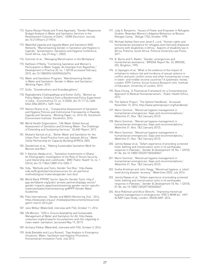- <span id="page-26-0"></span>172. [Gyana Ranjan Panda and Trisha Agarwala, "Gender Responsive](#page-17-0)  [Budget Analysis in Water and Sanitation Services in the](#page-17-0)  [Resettlement Colonies of Delhi,](#page-17-0)" SSRN Electronic Journal, doi:10.2139/ssrn.2119016.
- 173. [WaterAid Uganda and Uganda Water and Sanitation NGO](#page-17-0)  [Network, "Mainstreaming Gender in Sanitation and Hygiene in](#page-17-0)  [Uganda," \(presentation, Sanitation and Hygiene Conference,](#page-17-0)  [South Africa, July 29-Aug 1, 2002\).](#page-17-0)
- 174. [Sommer et al., "Managing Menstruation in the Workplace"](#page-17-0)
- 175. [Kathleen O'Reilly, "Combining Sanitation and Women's](#page-17-0)  [Participation in Water Supply: An Example from Rajasthan,"](#page-17-0)  [Development in Practice 20, no. 1 \(2010\) accessed February](#page-17-0)  [2010, doi:10.1080/09614520903436976.](#page-17-0)
- 176. [Water and Sanitation Program, "Mainstreaming Gender](#page-17-0)  [in Water and Sanitation: Gender in Water and Sanitation,"](#page-17-0)  [Working Paper](#page-17-0), 2010.
- 177. [Duflo, "Grandmothers and Granddaughters".](#page-17-0)
- 178. [Raghabendra Chattopadhyay and Esther Duflo, "Women as](#page-17-0)  [Policy Makers: Evidence from a Randomized Policy Experiment](#page-17-0)  in India," Econometrica [72, no. 5 \(2004\), doi:10.1111/j.1468-](#page-17-0) [0262.2004.00539.x 1409–1443.](#page-17-0)
- 179. [Nelson Ekane et al., "Comparative Assessment of Sanitation](#page-17-0)  [and Hygiene Policies and Institutional Frameworks in Rwanda,](#page-17-0)  Uganda and Tanzania," Working Paper[, no. 2016-05, Stockholm](#page-17-0)  [Environment Institute: Stockholm, 2016.](#page-17-0)
- 180. [World Health Organization, "UN-Water Global Annual](#page-17-0)  [Assessment of Sanitation and Drinking-Water: The Challenge](#page-17-0)  [of Extending and Sustaining Services,"](#page-17-0) GLAAS Report, 2012.
- 181. [Mukami Kartuki et al., "Better Water and Sanitation for the](#page-17-0)  [Urban Poor: Good Practice from sub-Saharan Africa,"](#page-17-0) Water [Utility Partnership for Capacity Building AFRICA](#page-17-0), 2003.
- 182. [Daneklman et al., "Making Sustainable Sanitation Work for](#page-17-0)  [Women and Men"](#page-17-0)
- 183. [Y. Awunyo-Akaba et al., "Sanitation Investments in Ghana:](#page-17-0)  [An Ethnographic Investigation of the Role of Tenure Security,](#page-17-0)  [Land Ownership and Livelihoods,"](#page-17-0) BMC Public Health 16, no. 1 [\(2016\), doi:10.1186/s12889-016-3283-7.](#page-17-0)
- 184. [Sida, "Methods and Tools: Gender Tool Box,](#page-18-0)" [http://www.](http://www.sida.se/English/partners/resources-for-all-partners/methodological-materials/gender-tool-) [sida.se/English/partners/resources-for-all-partners/](http://www.sida.se/English/partners/resources-for-all-partners/methodological-materials/gender-tool-) [methodological-materials/gender-tool-box/.](http://www.sida.se/English/partners/resources-for-all-partners/methodological-materials/gender-tool-)
- 185. [World Bank PPPIRC Sector-Specific Gender Tools](#page-18-0): [http://](http://ppp.worldbank.org/public-private-partnership/ppp-sector/gender-impacts-ppps/mainstreaming-gen) [ppp.worldbank.org/public-private-partnership/ppp-sector/](http://ppp.worldbank.org/public-private-partnership/ppp-sector/gender-impacts-ppps/mainstreaming-gen) [gender-impacts-ppps/mainstreaming-gender-sector-specific](http://ppp.worldbank.org/public-private-partnership/ppp-sector/gender-impacts-ppps/mainstreaming-gen)[materials/water/mainstreaming-ge#PPP](http://ppp.worldbank.org/public-private-partnership/ppp-sector/gender-impacts-ppps/mainstreaming-gen) Gender Water Guidelines
- 186. [Plan International, "Gender and WASH Monitoring Tool," 2014,](#page-18-0) [https://www.plan.org.au/~/media/plan/documents/resources/](https://www.plan.org.au/~/media/plan/documents/resources/gwmt-march-2014.pdf) [gwmt-march-2014.pdf](https://www.plan.org.au/~/media/plan/documents/resources/gwmt-march-2014.pdf).
- 187. [Jane Wilbur \(WaterAid\), interview with FSG, October 11, 2016](#page-18-0)
- 188. [UN Women, "SDG 6: Ensure Availability and Sustainable](#page-18-0)  [Management af Water and Sanitation for All,](#page-18-0) [http://www.](http://www.unwomen.org/en/news/in-focus/women-and-the-sdgs/sdg-6-clean-water-sanitation) [unwomen.org/en/news/in-focus/women-and-the-sdgs/sdg-6](http://www.unwomen.org/en/news/in-focus/women-and-the-sdgs/sdg-6-clean-water-sanitation) [clean-water-sanitation,](http://www.unwomen.org/en/news/in-focus/women-and-the-sdgs/sdg-6-clean-water-sanitation) (accessed May 19, 2017)
- 189. [Archana Patkar \(WaterAid\), interview with FSG, October 5, 2016](#page-18-0)
- 190. [Andy Bastable and Lucy Russell, "Gap Analysis in Emergency](#page-19-0)  [Situations: Water, Sanitation and Hygiene Promotion,"](#page-19-0)  [Humanitarian Innovation Fund, July 2013.](#page-19-0)
- 191. [Judy A. Benjamin, "Issues of Power and Empower in Refugees](#page-19-0)  [Studies: Rwandan Women's Adaptive Behaviour at Benaco](#page-19-0)  Refugee Camp," Refuge [17\(4\), October 1998.](#page-19-0)
- 192. [Michael Ashley Stein and Janet E. Lord, "Human rights and](#page-19-0)  [humanitarian assistance for refugees and internally displaced](#page-19-0)  [persons with disabilities in Africa," Aspects of disability law in](#page-19-0)  [Africa, Pretoria, South Africa: Pretoria University Law Press,](#page-19-0)  [2011.](#page-19-0)
- 193. [B. Byrne and S. Baden, "Gender, emergencies and](#page-19-0)  [humanitarian assistance," BRIDGE Report No. 33, BRIDGE,](#page-19-0)  [IDS, Brighton, 1995.](#page-19-0)
- 194. [Jo Spangaro et al, "What is the evidence of the impact of](#page-19-0)  [initiatives to reduce risk and incidence of sexual violence in](#page-19-0)  [conflict and post-conflict zones and other humanitarian crises](#page-19-0)  [in lower- and middle-income countries? A systematic review,"](#page-19-0)  [London: EPPI-Centre, Social Science Research Unit, Institute](#page-19-0)  [of Education, University of London, 2013.](#page-19-0)
- 195. [Ryoa Chung, "A Theoretical Framework for a Comprehensive](#page-19-0)  [Approach to Medical Humanitarianism,"](#page-19-0) Public Health Ethics, [2012.](#page-19-0)
- 196. [The Sphere Project, "The Sphere Handbook," Accessed](#page-19-0)  [November 15, 2016,](#page-19-0) <http://www.sphereproject.org/handbook/>
- 197. [Marni Sommer, "Menstrual hygiene management in](#page-19-0)  [humanitarian emergencies: Gaps and recommendations,"](#page-19-0)  Waterline [31, Nos. 1&2 \(January 2012\).](#page-19-0)
- 198. [Marni Sommer, "Menstrual hygiene management in](#page-19-0)  [humanitarian emergencies: Gaps and recommendations,"](#page-19-0)  Waterline [31, Nos. 1&2 \(January 2012\).](#page-19-0)
- 199. [Marni Sommer, "Menstrual hygiene management in](#page-19-0)  [humanitarian emergencies: Gaps and recommendations,"](#page-19-0)  Waterline [31, Nos. 1&2 \(January 2012\).](#page-19-0)
- 200. [Jamila Nawaz et al, "Oxfam experience of providing screened](#page-19-0)  [toilet, bathing and menstruation units in its earthquake](#page-19-0)  [response in Pakistan,"](#page-19-0) Gender & Development 18, No. 1 (2010), [81-86, doi:10.1080/13552071003600067.](#page-19-0)
- 201. [Marni Sommer, "Menstrual hygiene management in](#page-19-0)  [humanitarian emergencies: Gaps and recommendations,"](#page-19-0)  Waterline [31, Nos. 1&2 \(January 2012\).](#page-19-0)
- 202. [Sneha Krishnan and John Twigg, "Menstrual hygiene: a 'silent'](#page-19-0)  [need during disaster recovery,"](#page-19-0) Waterlines 35(3), July 2016.
- 203. [Jamila Nawaz et al, "Oxfam experience of providing screened](#page-19-0)  [toilet, bathing and menstruation units in its earthquake](#page-19-0)  [response in Pakistan,"](#page-19-0) Gender & Development 18, No. 1 (2010), [81-86, doi:10.1080/13552071003600067.](#page-19-0)
- 204. [Alice Robinson and Alice Obrecht, "Improving menstrual](#page-19-0)  [hygiene management in emergencies: IFRC's MHM kit," HIF/](#page-19-0) [ALNAP Case Study, London: ODI/ALNAP, 2016.](#page-19-0)